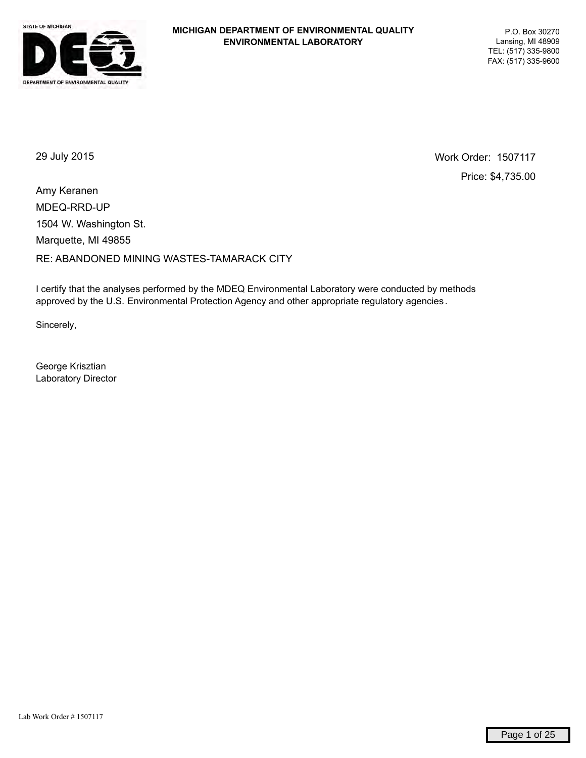

29 July 2015 Work Order: 1507117 Price: \$4,735.00

MDEQ-RRD-UP RE: ABANDONED MINING WASTES-TAMARACK CITY Marquette, MI 49855 1504 W. Washington St. Amy Keranen

I certify that the analyses performed by the MDEQ Environmental Laboratory were conducted by methods approved by the U.S. Environmental Protection Agency and other appropriate regulatory agencies .

Sincerely,

George Krisztian Laboratory Director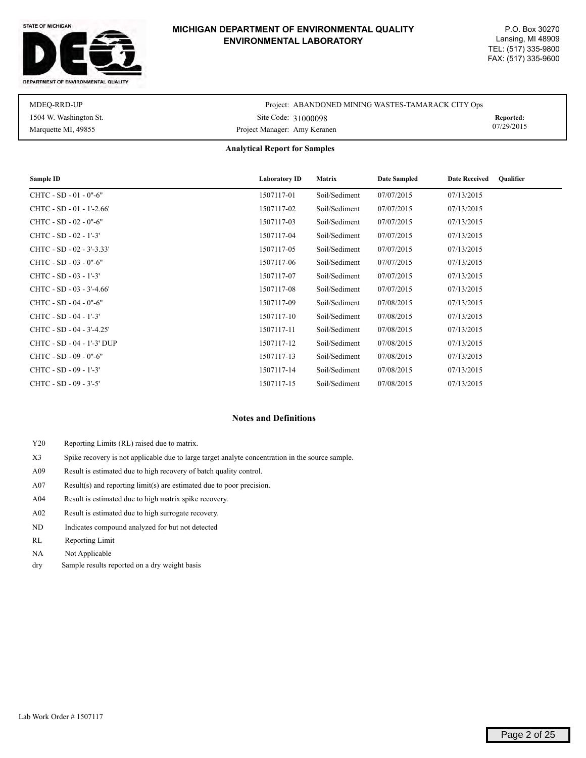#### STATE OF MICHIGAN



#### **MICHIGAN DEPARTMENT OF ENVIRONMENTAL QUALITY ENVIRONMENTAL LABORATORY**

| MDEO-RRD-UP            | Project: ABANDONED MINING WASTES-TAMARACK CITY Ops |            |
|------------------------|----------------------------------------------------|------------|
| 1504 W. Washington St. | Site Code: 31000098                                | Reported:  |
| Marquette MI, 49855    | Project Manager: Amy Keranen                       | 07/29/2015 |

#### **Analytical Report for Samples**

| Sample ID                  | <b>Laboratory ID</b> | <b>Matrix</b> | <b>Date Sampled</b> | <b>Date Received</b><br><b>Qualifier</b> |
|----------------------------|----------------------|---------------|---------------------|------------------------------------------|
| CHTC - SD - 01 - 0"-6"     | 1507117-01           | Soil/Sediment | 07/07/2015          | 07/13/2015                               |
| CHTC - SD - 01 - 1'-2.66'  | 1507117-02           | Soil/Sediment | 07/07/2015          | 07/13/2015                               |
| $CHTC - SD - 02 - 0" - 6"$ | 1507117-03           | Soil/Sediment | 07/07/2015          | 07/13/2015                               |
| CHTC - SD - 02 - 1'-3'     | 1507117-04           | Soil/Sediment | 07/07/2015          | 07/13/2015                               |
| CHTC - SD - 02 - 3'-3.33'  | 1507117-05           | Soil/Sediment | 07/07/2015          | 07/13/2015                               |
| $CHTC - SD - 03 - 0" - 6"$ | 1507117-06           | Soil/Sediment | 07/07/2015          | 07/13/2015                               |
| CHTC - SD - 03 - 1'-3'     | 1507117-07           | Soil/Sediment | 07/07/2015          | 07/13/2015                               |
| CHTC - SD - 03 - 3'-4.66'  | 1507117-08           | Soil/Sediment | 07/07/2015          | 07/13/2015                               |
| CHTC - SD - 04 - 0"-6"     | 1507117-09           | Soil/Sediment | 07/08/2015          | 07/13/2015                               |
| CHTC - SD - 04 - 1'-3'     | 1507117-10           | Soil/Sediment | 07/08/2015          | 07/13/2015                               |
| CHTC - SD - 04 - 3'-4.25'  | 1507117-11           | Soil/Sediment | 07/08/2015          | 07/13/2015                               |
| CHTC - SD - 04 - 1'-3' DUP | 1507117-12           | Soil/Sediment | 07/08/2015          | 07/13/2015                               |
| CHTC - SD - 09 - 0"-6"     | 1507117-13           | Soil/Sediment | 07/08/2015          | 07/13/2015                               |
| CHTC - SD - 09 - 1'-3'     | 1507117-14           | Soil/Sediment | 07/08/2015          | 07/13/2015                               |
| CHTC - SD - 09 - 3'-5'     | 1507117-15           | Soil/Sediment | 07/08/2015          | 07/13/2015                               |

#### **Notes and Definitions**

- Y20 Reporting Limits (RL) raised due to matrix.
- X3 Spike recovery is not applicable due to large target analyte concentration in the source sample.
- A09 Result is estimated due to high recovery of batch quality control.
- A07 Result(s) and reporting limit(s) are estimated due to poor precision.
- A04 Result is estimated due to high matrix spike recovery.
- A02 Result is estimated due to high surrogate recovery.
- ND Indicates compound analyzed for but not detected
- RL Reporting Limit
- NA Not Applicable
- dry Sample results reported on a dry weight basis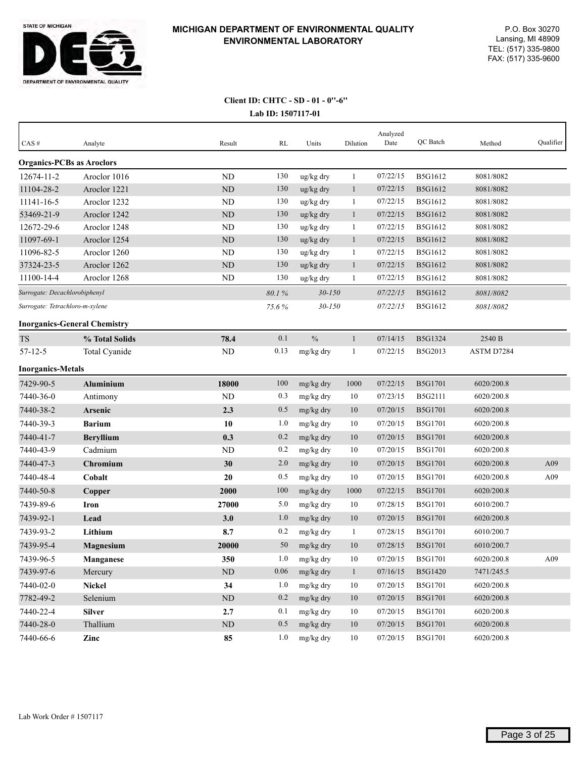

## **Lab ID: 1507117-01 Client ID: CHTC - SD - 01 - 0''-6''**

| CAS#                             | Analyte                             | Result     | RL       | Units         | Dilution     | Analyzed<br>Date | QC Batch       | Method     | Qualifier |
|----------------------------------|-------------------------------------|------------|----------|---------------|--------------|------------------|----------------|------------|-----------|
| <b>Organics-PCBs as Aroclors</b> |                                     |            |          |               |              |                  |                |            |           |
| 12674-11-2                       | Aroclor 1016                        | ND         | 130      | ug/kg dry     | -1           | 07/22/15         | B5G1612        | 8081/8082  |           |
| 11104-28-2                       | Aroclor 1221                        | ND         | 130      | ug/kg dry     | $\mathbf{1}$ | 07/22/15         | B5G1612        | 8081/8082  |           |
| 11141-16-5                       | Aroclor 1232                        | ND         | 130      | ug/kg dry     | -1           | 07/22/15         | <b>B5G1612</b> | 8081/8082  |           |
| 53469-21-9                       | Aroclor 1242                        | ND         | 130      | ug/kg dry     | $\mathbf{1}$ | 07/22/15         | B5G1612        | 8081/8082  |           |
| 12672-29-6                       | Aroclor 1248                        | ND         | 130      | ug/kg dry     | $\mathbf{1}$ | 07/22/15         | B5G1612        | 8081/8082  |           |
| 11097-69-1                       | Aroclor 1254                        | $\rm ND$   | 130      | ug/kg dry     | $\mathbf{1}$ | 07/22/15         | B5G1612        | 8081/8082  |           |
| 11096-82-5                       | Aroclor 1260                        | ND         | 130      | ug/kg dry     | $\mathbf{1}$ | 07/22/15         | B5G1612        | 8081/8082  |           |
| 37324-23-5                       | Aroclor 1262                        | ND         | 130      | ug/kg dry     | $\mathbf{1}$ | 07/22/15         | B5G1612        | 8081/8082  |           |
| 11100-14-4                       | Aroclor 1268                        | ND         | 130      | ug/kg dry     | -1           | 07/22/15         | B5G1612        | 8081/8082  |           |
| Surrogate: Decachlorobiphenyl    |                                     |            | 80.1%    | $30 - 150$    |              | 07/22/15         | B5G1612        | 8081/8082  |           |
| Surrogate: Tetrachloro-m-xylene  |                                     |            | 75.6%    | $30 - 150$    |              | 07/22/15         | B5G1612        | 8081/8082  |           |
|                                  | <b>Inorganics-General Chemistry</b> |            |          |               |              |                  |                |            |           |
| <b>TS</b>                        | % Total Solids                      | 78.4       | 0.1      | $\frac{0}{0}$ | $\mathbf{1}$ | 07/14/15         | <b>B5G1324</b> | 2540 B     |           |
| $57 - 12 - 5$                    | Total Cyanide                       | ND         | 0.13     | mg/kg dry     | -1           | 07/22/15         | B5G2013        | ASTM D7284 |           |
| <b>Inorganics-Metals</b>         |                                     |            |          |               |              |                  |                |            |           |
| 7429-90-5                        | <b>Aluminium</b>                    | 18000      | 100      | mg/kg dry     | 1000         | 07/22/15         | <b>B5G1701</b> | 6020/200.8 |           |
| 7440-36-0                        | Antimony                            | ND         | 0.3      | mg/kg dry     | 10           | 07/23/15         | <b>B5G2111</b> | 6020/200.8 |           |
| 7440-38-2                        | Arsenic                             | 2.3        | 0.5      | mg/kg dry     | 10           | 07/20/15         | <b>B5G1701</b> | 6020/200.8 |           |
| 7440-39-3                        | <b>Barium</b>                       | 10         | 1.0      | mg/kg dry     | 10           | 07/20/15         | B5G1701        | 6020/200.8 |           |
| 7440-41-7                        | <b>Beryllium</b>                    | 0.3        | 0.2      | mg/kg dry     | 10           | 07/20/15         | <b>B5G1701</b> | 6020/200.8 |           |
| 7440-43-9                        | Cadmium                             | ND         | 0.2      | mg/kg dry     | 10           | 07/20/15         | B5G1701        | 6020/200.8 |           |
| 7440-47-3                        | Chromium                            | 30         | 2.0      | mg/kg dry     | 10           | 07/20/15         | <b>B5G1701</b> | 6020/200.8 | A09       |
| 7440-48-4                        | Cobalt                              | 20         | 0.5      | mg/kg dry     | 10           | 07/20/15         | <b>B5G1701</b> | 6020/200.8 | A09       |
| 7440-50-8                        | Copper                              | 2000       | 100      | mg/kg dry     | 1000         | 07/22/15         | <b>B5G1701</b> | 6020/200.8 |           |
| 7439-89-6                        | Iron                                | 27000      | 5.0      | mg/kg dry     | 10           | 07/28/15         | <b>B5G1701</b> | 6010/200.7 |           |
| 7439-92-1                        | Lead                                | 3.0        | 1.0      | mg/kg dry     | 10           | 07/20/15         | <b>B5G1701</b> | 6020/200.8 |           |
| 7439-93-2                        | Lithium                             | 8.7        | 0.2      | mg/kg dry     | 1            | 07/28/15         | <b>B5G1701</b> | 6010/200.7 |           |
| 7439-95-4                        | <b>Magnesium</b>                    | 20000      | 50       | mg/kg dry     | 10           | 07/28/15         | <b>B5G1701</b> | 6010/200.7 |           |
| 7439-96-5                        | Manganese                           | 350        | 1.0      | mg/kg dry     | 10           | 07/20/15         | B5G1701        | 6020/200.8 | A09       |
| 7439-97-6                        | Mercury                             | ${\rm ND}$ | $0.06\,$ | mg/kg dry     | $\mathbf{1}$ | 07/16/15         | B5G1420        | 7471/245.5 |           |
| 7440-02-0                        | <b>Nickel</b>                       | 34         | 1.0      | mg/kg dry     | 10           | 07/20/15         | B5G1701        | 6020/200.8 |           |
| 7782-49-2                        | Selenium                            | $\rm ND$   | 0.2      | mg/kg dry     | 10           | 07/20/15         | <b>B5G1701</b> | 6020/200.8 |           |
| 7440-22-4                        | <b>Silver</b>                       | 2.7        | 0.1      | mg/kg dry     | 10           | 07/20/15         | B5G1701        | 6020/200.8 |           |
| 7440-28-0                        | Thallium                            | $\rm ND$   | 0.5      | mg/kg dry     | $10\,$       | 07/20/15         | B5G1701        | 6020/200.8 |           |
| 7440-66-6                        | $\mathbf{Z}$ inc                    | 85         | 1.0      | mg/kg dry     | 10           | 07/20/15         | B5G1701        | 6020/200.8 |           |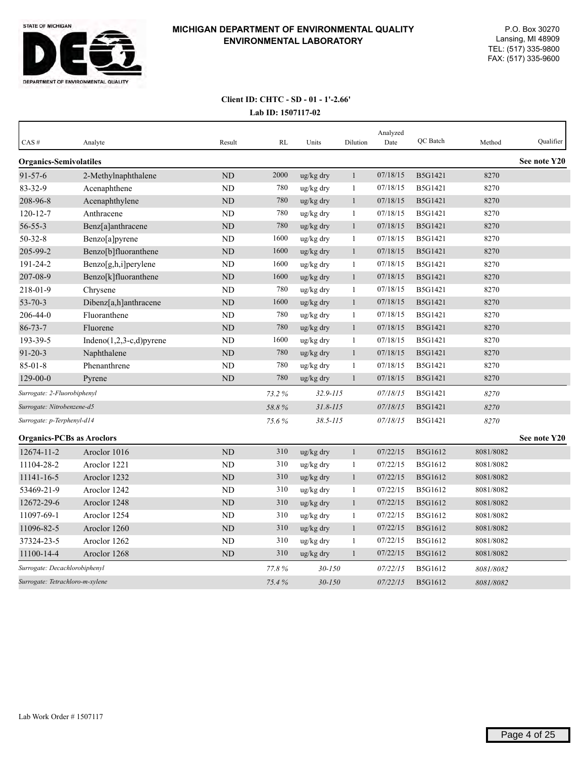

## **Lab ID: 1507117-02 Client ID: CHTC - SD - 01 - 1'-2.66'**

| CAS#                             | Analyte                     | Result         | <b>RL</b> | Units        | Dilution     | Analyzed<br>Date | QC Batch       | Method    | Qualifier    |
|----------------------------------|-----------------------------|----------------|-----------|--------------|--------------|------------------|----------------|-----------|--------------|
|                                  |                             |                |           |              |              |                  |                |           |              |
| <b>Organics-Semivolatiles</b>    |                             |                |           |              |              |                  |                |           | See note Y20 |
| $91 - 57 - 6$                    | 2-Methylnaphthalene         | ND             | 2000      | ug/kg dry    | $\mathbf{1}$ | 07/18/15         | B5G1421        | 8270      |              |
| $83 - 32 - 9$                    | Acenaphthene                | <b>ND</b>      | 780       | ug/kg dry    | 1            | 07/18/15         | B5G1421        | 8270      |              |
| 208-96-8                         | Acenaphthylene              | ND             | 780       | ug/kg dry    | 1            | 07/18/15         | B5G1421        | 8270      |              |
| $120 - 12 - 7$                   | Anthracene                  | <b>ND</b>      | 780       | ug/kg dry    | $\mathbf{1}$ | 07/18/15         | B5G1421        | 8270      |              |
| $56 - 55 - 3$                    | Benz[a]anthracene           | <b>ND</b>      | 780       | ug/kg dry    | 1            | 07/18/15         | B5G1421        | 8270      |              |
| $50 - 32 - 8$                    | Benzo[a]pyrene              | N <sub>D</sub> | 1600      | ug/kg dry    | 1            | 07/18/15         | B5G1421        | 8270      |              |
| 205-99-2                         | Benzo[b]fluoranthene        | ND             | 1600      | ug/kg dry    | $\mathbf{1}$ | 07/18/15         | B5G1421        | 8270      |              |
| 191-24-2                         | Benzo[g,h,i]perylene        | ND             | 1600      | ug/kg dry    | 1            | 07/18/15         | B5G1421        | 8270      |              |
| 207-08-9                         | Benzo[k]fluoranthene        | <b>ND</b>      | 1600      | ug/kg dry    | $\mathbf{1}$ | 07/18/15         | <b>B5G1421</b> | 8270      |              |
| 218-01-9                         | Chrysene                    | <b>ND</b>      | 780       | ug/kg dry    | $\mathbf{1}$ | 07/18/15         | B5G1421        | 8270      |              |
| $53 - 70 - 3$                    | Dibenz[a,h]anthracene       | ND             | 1600      | ug/kg dry    | $\mathbf{1}$ | 07/18/15         | <b>B5G1421</b> | 8270      |              |
| 206-44-0                         | Fluoranthene                | <b>ND</b>      | 780       | ug/kg dry    | 1            | 07/18/15         | B5G1421        | 8270      |              |
| $86 - 73 - 7$                    | Fluorene                    | ND             | 780       | ug/kg dry    | $\mathbf{1}$ | 07/18/15         | B5G1421        | 8270      |              |
| 193-39-5                         | Indeno $(1,2,3-c,d)$ pyrene | <b>ND</b>      | 1600      | ug/kg dry    | 1            | 07/18/15         | B5G1421        | 8270      |              |
| $91 - 20 - 3$                    | Naphthalene                 | <b>ND</b>      | 780       | ug/kg dry    | $\mathbf{1}$ | 07/18/15         | <b>B5G1421</b> | 8270      |              |
| $85 - 01 - 8$                    | Phenanthrene                | <b>ND</b>      | 780       | ug/kg dry    | 1            | 07/18/15         | B5G1421        | 8270      |              |
| $129 - 00 - 0$                   | Pyrene                      | ND             | 780       | ug/kg dry    | $\mathbf{1}$ | 07/18/15         | B5G1421        | 8270      |              |
| Surrogate: 2-Fluorobiphenyl      |                             |                | 73.2%     | $32.9 - 115$ |              | 07/18/15         | B5G1421        | 8270      |              |
| Surrogate: Nitrobenzene-d5       |                             |                | 58.8%     | $31.8 - 115$ |              | 07/18/15         | B5G1421        | 8270      |              |
| Surrogate: p-Terphenyl-d14       |                             |                | 75.6%     | $38.5 - 115$ |              | 07/18/15         | B5G1421        | 8270      |              |
| <b>Organics-PCBs as Aroclors</b> |                             |                |           |              |              |                  |                |           | See note Y20 |
| 12674-11-2                       | Aroclor 1016                | ND             | 310       | ug/kg dry    | $\mathbf{1}$ | 07/22/15         | B5G1612        | 8081/8082 |              |
| 11104-28-2                       | Aroclor 1221                | ND             | 310       | ug/kg dry    | 1            | 07/22/15         | B5G1612        | 8081/8082 |              |
| 11141-16-5                       | Aroclor 1232                | <b>ND</b>      | 310       | ug/kg dry    | $\mathbf{1}$ | 07/22/15         | B5G1612        | 8081/8082 |              |
| 53469-21-9                       | Aroclor 1242                | <b>ND</b>      | 310       | ug/kg dry    | 1            | 07/22/15         | B5G1612        | 8081/8082 |              |
| 12672-29-6                       | Aroclor 1248                | ND             | 310       | ug/kg dry    | $\mathbf{1}$ | 07/22/15         | B5G1612        | 8081/8082 |              |
| 11097-69-1                       | Aroclor 1254                | N <sub>D</sub> | 310       | ug/kg dry    | $\mathbf{1}$ | 07/22/15         | B5G1612        | 8081/8082 |              |
| 11096-82-5                       | Aroclor 1260                | <b>ND</b>      | 310       | ug/kg dry    | $\mathbf{1}$ | 07/22/15         | B5G1612        | 8081/8082 |              |
| 37324-23-5                       | Aroclor 1262                | ND             | 310       | ug/kg dry    | 1            | 07/22/15         | B5G1612        | 8081/8082 |              |
| 11100-14-4                       | Aroclor 1268                | <b>ND</b>      | 310       | ug/kg dry    | $\mathbf{1}$ | 07/22/15         | B5G1612        | 8081/8082 |              |
| Surrogate: Decachlorobiphenyl    |                             |                | 77.8%     | $30 - 150$   |              | 07/22/15         | <b>B5G1612</b> | 8081/8082 |              |
| Surrogate: Tetrachloro-m-xylene  |                             |                | 75.4%     | $30 - 150$   |              | 07/22/15         | B5G1612        | 8081/8082 |              |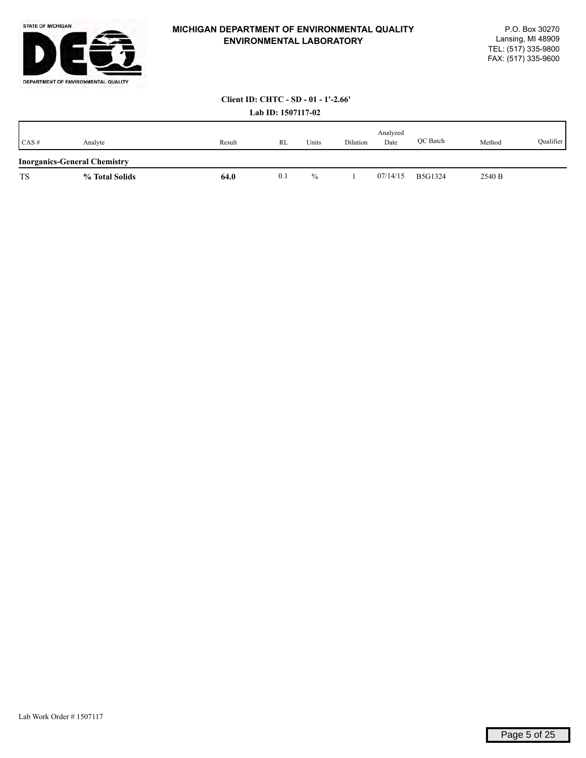

## **Client ID: CHTC - SD - 01 - 1'-2.66'**

| Lab ID: 1507117-02 |
|--------------------|
|                    |

| CAS#      | Analyte                             | Result | RL  | Units         | Dilution | Analyzed<br>Date | QC Batch       | Method | Qualifier |
|-----------|-------------------------------------|--------|-----|---------------|----------|------------------|----------------|--------|-----------|
|           | <b>Inorganics-General Chemistry</b> |        |     |               |          |                  |                |        |           |
| <b>TS</b> | % Total Solids                      | 64.0   | 0.1 | $\frac{0}{0}$ |          | 07/14/15         | <b>B5G1324</b> | 2540 B |           |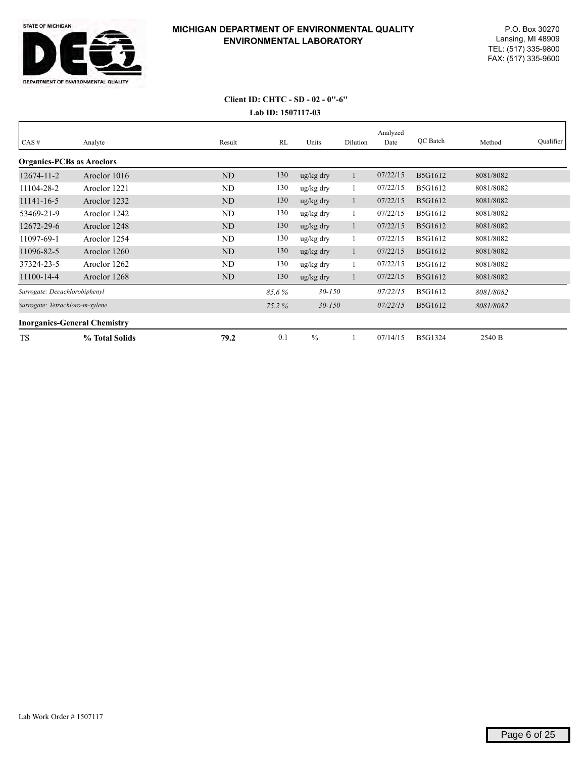

## **Lab ID: 1507117-03 Client ID: CHTC - SD - 02 - 0''-6''**

| CAS#                                | Analyte        | Result         | RL    | Units                 | Dilution | Analyzed<br>Date | QC Batch       | Method    | Qualifier |
|-------------------------------------|----------------|----------------|-------|-----------------------|----------|------------------|----------------|-----------|-----------|
|                                     |                |                |       |                       |          |                  |                |           |           |
| <b>Organics-PCBs as Aroclors</b>    |                |                |       |                       |          |                  |                |           |           |
| $12674 - 11 - 2$                    | Aroclor 1016   | N <sub>D</sub> | 130   | ug/kg dry             |          | 07/22/15         | B5G1612        | 8081/8082 |           |
| 11104-28-2                          | Aroclor 1221   | ND             | 130   | ug/kg dry             |          | 07/22/15         | B5G1612        | 8081/8082 |           |
| 11141-16-5                          | Aroclor 1232   | <b>ND</b>      | 130   | $\frac{u g}{k g}$ dry |          | 07/22/15         | B5G1612        | 8081/8082 |           |
| 53469-21-9                          | Aroclor 1242   | ND             | 130   | ug/kg dry             |          | 07/22/15         | B5G1612        | 8081/8082 |           |
| 12672-29-6                          | Aroclor 1248   | <b>ND</b>      | 130   | ug/kg dry             | $\perp$  | 07/22/15         | B5G1612        | 8081/8082 |           |
| 11097-69-1                          | Aroclor 1254   | ND             | 130   | ug/kg dry             |          | 07/22/15         | B5G1612        | 8081/8082 |           |
| 11096-82-5                          | Aroclor 1260   | ND             | 130   | $\frac{u g}{k g}$ dry |          | 07/22/15         | B5G1612        | 8081/8082 |           |
| 37324-23-5                          | Aroclor 1262   | ND             | 130   | ug/kg dry             |          | 07/22/15         | B5G1612        | 8081/8082 |           |
| 11100-14-4                          | Aroclor 1268   | ND             | 130   | ug/kg dry             |          | 07/22/15         | B5G1612        | 8081/8082 |           |
| Surrogate: Decachlorobiphenyl       |                |                | 85.6% | $30 - 150$            |          | 07/22/15         | B5G1612        | 8081/8082 |           |
| Surrogate: Tetrachloro-m-xylene     |                |                | 75.2% | $30 - 150$            |          | 07/22/15         | B5G1612        | 8081/8082 |           |
| <b>Inorganics-General Chemistry</b> |                |                |       |                       |          |                  |                |           |           |
| <b>TS</b>                           | % Total Solids | 79.2           | 0.1   | $\frac{0}{0}$         |          | 07/14/15         | <b>B5G1324</b> | 2540 B    |           |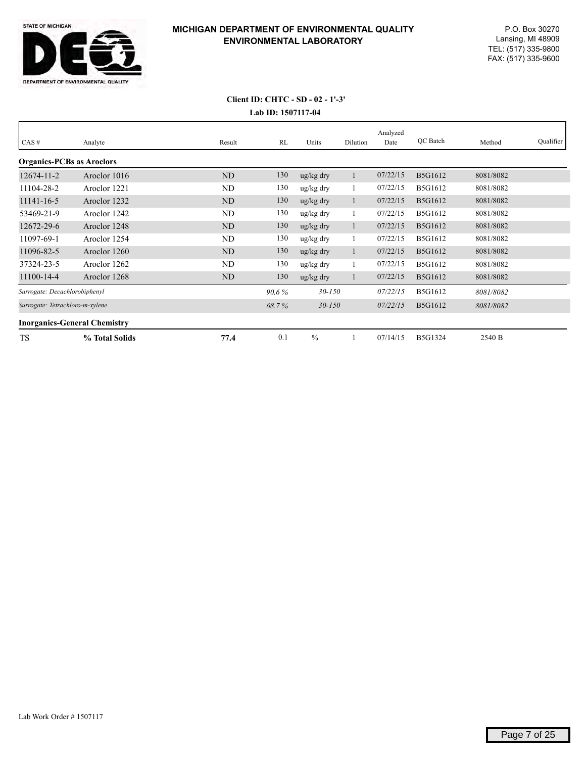

# **Lab ID: 1507117-04 Client ID: CHTC - SD - 02 - 1'-3'**

| CAS#                                | Analyte        | Result         | RL    | Units                 | Dilution | Analyzed<br>Date | QC Batch       | Method    | Qualifier |
|-------------------------------------|----------------|----------------|-------|-----------------------|----------|------------------|----------------|-----------|-----------|
| <b>Organics-PCBs as Aroclors</b>    |                |                |       |                       |          |                  |                |           |           |
| $12674 - 11 - 2$                    | Aroclor 1016   | <b>ND</b>      | 130   | $\frac{u g}{k g}$ dry |          | 07/22/15         | B5G1612        | 8081/8082 |           |
| 11104-28-2                          | Aroclor 1221   | ND             | 130   | ug/kg dry             |          | 07/22/15         | B5G1612        | 8081/8082 |           |
| 11141-16-5                          | Aroclor 1232   | <b>ND</b>      | 130   | $\frac{u g}{k g}$ dry |          | 07/22/15         | B5G1612        | 8081/8082 |           |
| 53469-21-9                          | Aroclor 1242   | ND             | 130   | ug/kg dry             |          | 07/22/15         | B5G1612        | 8081/8082 |           |
| 12672-29-6                          | Aroclor 1248   | ND             | 130   | ug/kg dry             |          | 07/22/15         | B5G1612        | 8081/8082 |           |
| 11097-69-1                          | Aroclor 1254   | ND             | 130   | ug/kg dry             |          | 07/22/15         | B5G1612        | 8081/8082 |           |
| 11096-82-5                          | Aroclor 1260   | N <sub>D</sub> | 130   | $\frac{u g}{k g}$ dry |          | 07/22/15         | B5G1612        | 8081/8082 |           |
| 37324-23-5                          | Aroclor 1262   | ND             | 130   | ug/kg dry             |          | 07/22/15         | B5G1612        | 8081/8082 |           |
| 11100-14-4                          | Aroclor 1268   | ND             | 130   | $\frac{u g}{k g}$ dry |          | 07/22/15         | B5G1612        | 8081/8082 |           |
| Surrogate: Decachlorobiphenyl       |                |                | 90.6% | $30 - 150$            |          | 07/22/15         | B5G1612        | 8081/8082 |           |
| Surrogate: Tetrachloro-m-xylene     |                |                | 68.7% | $30 - 150$            |          | 07/22/15         | B5G1612        | 8081/8082 |           |
| <b>Inorganics-General Chemistry</b> |                |                |       |                       |          |                  |                |           |           |
| <b>TS</b>                           | % Total Solids | 77.4           | 0.1   | $\frac{0}{0}$         |          | 07/14/15         | <b>B5G1324</b> | 2540 B    |           |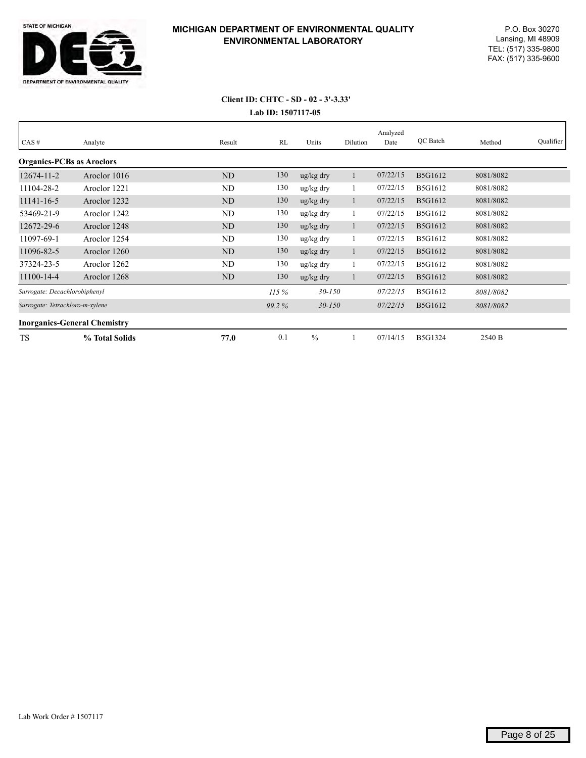

## **Lab ID: 1507117-05 Client ID: CHTC - SD - 02 - 3'-3.33'**

| CAS#                             | Analyte                             | Result         | RL    | Units                 | Dilution     | Analyzed<br>Date | QC Batch | Method    | Qualifier |
|----------------------------------|-------------------------------------|----------------|-------|-----------------------|--------------|------------------|----------|-----------|-----------|
| <b>Organics-PCBs as Aroclors</b> |                                     |                |       |                       |              |                  |          |           |           |
| $12674 - 11 - 2$                 | Aroclor 1016                        | <b>ND</b>      | 130   | $\frac{u g}{k g}$ dry |              | 07/22/15         | B5G1612  | 8081/8082 |           |
| 11104-28-2                       | Aroclor 1221                        | ND             | 130   | ug/kg dry             |              | 07/22/15         | B5G1612  | 8081/8082 |           |
| 11141-16-5                       | Aroclor 1232                        | ND             | 130   | $\frac{u g}{k g}$ dry | $\mathbf{1}$ | 07/22/15         | B5G1612  | 8081/8082 |           |
| 53469-21-9                       | Aroclor 1242                        | ND             | 130   | ug/kg dry             | $\mathbf{1}$ | 07/22/15         | B5G1612  | 8081/8082 |           |
| 12672-29-6                       | Aroclor 1248                        | N <sub>D</sub> | 130   | $\frac{u g}{k g}$ dry | 1            | 07/22/15         | B5G1612  | 8081/8082 |           |
| 11097-69-1                       | Aroclor 1254                        | ND             | 130   | ug/kg dry             |              | 07/22/15         | B5G1612  | 8081/8082 |           |
| 11096-82-5                       | Aroclor 1260                        | N <sub>D</sub> | 130   | ug/kg dry             | 1            | 07/22/15         | B5G1612  | 8081/8082 |           |
| 37324-23-5                       | Aroclor 1262                        | ND             | 130   | $\frac{u g}{k g}$ dry |              | 07/22/15         | B5G1612  | 8081/8082 |           |
| 11100-14-4                       | Aroclor 1268                        | ND             | 130   | $\frac{u g}{k g}$ dry |              | 07/22/15         | B5G1612  | 8081/8082 |           |
| Surrogate: Decachlorobiphenyl    |                                     |                | 115%  | $30 - 150$            |              | 07/22/15         | B5G1612  | 8081/8082 |           |
| Surrogate: Tetrachloro-m-xylene  |                                     |                | 99.2% | $30 - 150$            |              | 07/22/15         | B5G1612  | 8081/8082 |           |
|                                  | <b>Inorganics-General Chemistry</b> |                |       |                       |              |                  |          |           |           |
| <b>TS</b>                        | % Total Solids                      | 77.0           | 0.1   | $\frac{0}{0}$         |              | 07/14/15         | B5G1324  | 2540 B    |           |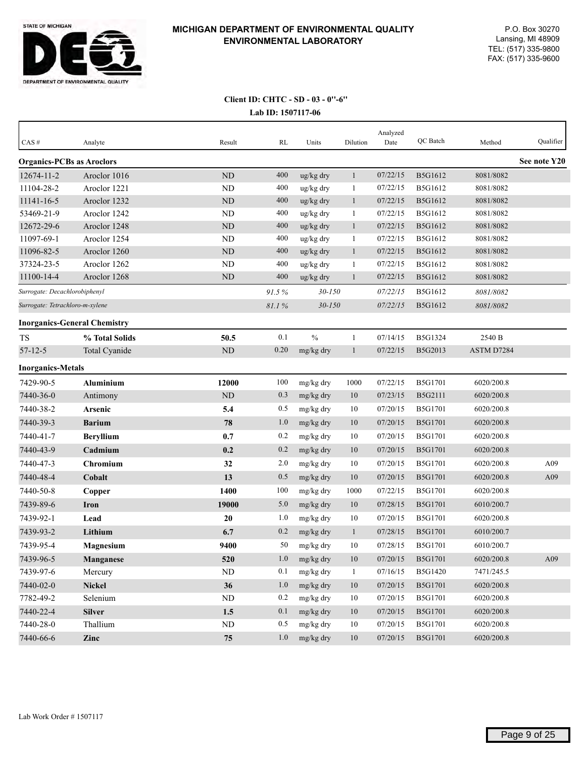

## **Lab ID: 1507117-06 Client ID: CHTC - SD - 03 - 0''-6''**

| $CAS \#$                         | Analyte                             | Result    | RL    | Units      | Dilution     | Analyzed<br>Date | QC Batch       | Method     | Qualifier    |
|----------------------------------|-------------------------------------|-----------|-------|------------|--------------|------------------|----------------|------------|--------------|
| <b>Organics-PCBs as Aroclors</b> |                                     |           |       |            |              |                  |                |            | See note Y20 |
| 12674-11-2                       | Aroclor 1016                        | <b>ND</b> | 400   | ug/kg dry  | $\mathbf{1}$ | 07/22/15         | B5G1612        | 8081/8082  |              |
| 11104-28-2                       | Aroclor 1221                        | ND        | 400   | ug/kg dry  | $\mathbf{1}$ | 07/22/15         | B5G1612        | 8081/8082  |              |
| 11141-16-5                       | Aroclor 1232                        | ND        | 400   | ug/kg dry  | $\mathbf{1}$ | 07/22/15         | B5G1612        | 8081/8082  |              |
| 53469-21-9                       | Aroclor 1242                        | <b>ND</b> | 400   | ug/kg dry  | $\mathbf{1}$ | 07/22/15         | B5G1612        | 8081/8082  |              |
| 12672-29-6                       | Aroclor 1248                        | <b>ND</b> | 400   | ug/kg dry  | $\mathbf{1}$ | 07/22/15         | B5G1612        | 8081/8082  |              |
| 11097-69-1                       | Aroclor 1254                        | <b>ND</b> | 400   | ug/kg dry  | $\mathbf{1}$ | 07/22/15         | B5G1612        | 8081/8082  |              |
| 11096-82-5                       | Aroclor 1260                        | <b>ND</b> | 400   | ug/kg dry  | $\mathbf{1}$ | 07/22/15         | B5G1612        | 8081/8082  |              |
| 37324-23-5                       | Aroclor 1262                        | ND        | 400   | ug/kg dry  | 1            | 07/22/15         | B5G1612        | 8081/8082  |              |
| 11100-14-4                       | Aroclor 1268                        | ND        | 400   | ug/kg dry  | $\mathbf{1}$ | 07/22/15         | B5G1612        | 8081/8082  |              |
| Surrogate: Decachlorobiphenyl    |                                     |           | 91.5% | $30 - 150$ |              | 07/22/15         | B5G1612        | 8081/8082  |              |
| Surrogate: Tetrachloro-m-xylene  |                                     |           | 81.1% | $30 - 150$ |              | 07/22/15         | B5G1612        | 8081/8082  |              |
|                                  | <b>Inorganics-General Chemistry</b> |           |       |            |              |                  |                |            |              |
| <b>TS</b>                        | % Total Solids                      | 50.5      | 0.1   | $\%$       | 1            | 07/14/15         | B5G1324        | 2540 B     |              |
| $57 - 12 - 5$                    | Total Cyanide                       | ND        | 0.20  | mg/kg dry  | $\mathbf{1}$ | 07/22/15         | B5G2013        | ASTM D7284 |              |
| <b>Inorganics-Metals</b>         |                                     |           |       |            |              |                  |                |            |              |
| 7429-90-5                        | <b>Aluminium</b>                    | 12000     | 100   | mg/kg dry  | 1000         | 07/22/15         | <b>B5G1701</b> | 6020/200.8 |              |
| 7440-36-0                        | Antimony                            | ND        | 0.3   | mg/kg dry  | 10           | 07/23/15         | B5G2111        | 6020/200.8 |              |
| 7440-38-2                        | Arsenic                             | 5.4       | 0.5   | mg/kg dry  | 10           | 07/20/15         | <b>B5G1701</b> | 6020/200.8 |              |
| 7440-39-3                        | <b>Barium</b>                       | 78        | 1.0   | mg/kg dry  | 10           | 07/20/15         | <b>B5G1701</b> | 6020/200.8 |              |
| 7440-41-7                        | <b>Beryllium</b>                    | 0.7       | 0.2   | mg/kg dry  | 10           | 07/20/15         | B5G1701        | 6020/200.8 |              |
| 7440-43-9                        | Cadmium                             | 0.2       | 0.2   | mg/kg dry  | 10           | 07/20/15         | <b>B5G1701</b> | 6020/200.8 |              |
| 7440-47-3                        | Chromium                            | 32        | 2.0   | mg/kg dry  | 10           | 07/20/15         | <b>B5G1701</b> | 6020/200.8 | A09          |
| 7440-48-4                        | Cobalt                              | 13        | 0.5   | mg/kg dry  | 10           | 07/20/15         | <b>B5G1701</b> | 6020/200.8 | A09          |
| 7440-50-8                        | Copper                              | 1400      | 100   | mg/kg dry  | 1000         | 07/22/15         | <b>B5G1701</b> | 6020/200.8 |              |
| 7439-89-6                        | <b>Iron</b>                         | 19000     | 5.0   | mg/kg dry  | 10           | 07/28/15         | <b>B5G1701</b> | 6010/200.7 |              |
| 7439-92-1                        | Lead                                | 20        | 1.0   | mg/kg dry  | 10           | 07/20/15         | <b>B5G1701</b> | 6020/200.8 |              |
| 7439-93-2                        | Lithium                             | 6.7       | 0.2   | mg/kg dry  | $\mathbf{1}$ | 07/28/15         | <b>B5G1701</b> | 6010/200.7 |              |
| 7439-95-4                        | <b>Magnesium</b>                    | 9400      | 50    | mg/kg dry  | 10           | 07/28/15         | <b>B5G1701</b> | 6010/200.7 |              |
| 7439-96-5                        | <b>Manganese</b>                    | 520       | 1.0   | mg/kg dry  | 10           | 07/20/15         | <b>B5G1701</b> | 6020/200.8 | A09          |
| 7439-97-6                        | Mercury                             | $\rm ND$  | 0.1   | mg/kg dry  | $\mathbf{1}$ | 07/16/15         | B5G1420        | 7471/245.5 |              |
| 7440-02-0                        | <b>Nickel</b>                       | 36        | 1.0   | mg/kg dry  | 10           | 07/20/15         | B5G1701        | 6020/200.8 |              |
| 7782-49-2                        | Selenium                            | $\rm ND$  | 0.2   | mg/kg dry  | 10           | 07/20/15         | B5G1701        | 6020/200.8 |              |
| 7440-22-4                        | <b>Silver</b>                       | 1.5       | 0.1   | mg/kg dry  | $10\,$       | 07/20/15         | B5G1701        | 6020/200.8 |              |
| 7440-28-0                        | Thallium                            | ND        | 0.5   | mg/kg dry  | $10\,$       | 07/20/15         | <b>B5G1701</b> | 6020/200.8 |              |
| 7440-66-6                        | Zinc                                | $75\,$    | 1.0   | mg/kg dry  | $10\,$       | 07/20/15         | B5G1701        | 6020/200.8 |              |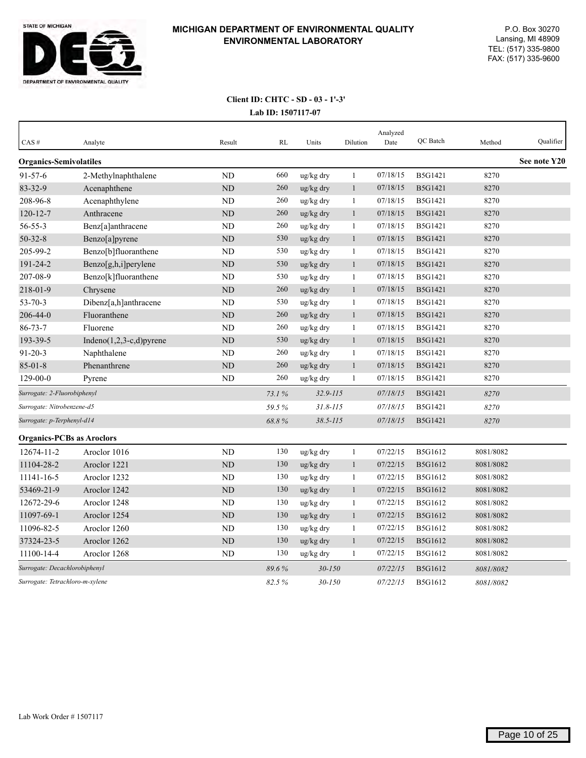

# **Lab ID: 1507117-07 Client ID: CHTC - SD - 03 - 1'-3'**

| CAS#                             | Analyte                     | Result         | RL    | Units        | Dilution     | Analyzed<br>Date | QC Batch       | Method    | Qualifier    |
|----------------------------------|-----------------------------|----------------|-------|--------------|--------------|------------------|----------------|-----------|--------------|
| <b>Organics-Semivolatiles</b>    |                             |                |       |              |              |                  |                |           | See note Y20 |
| $91 - 57 - 6$                    | 2-Methylnaphthalene         | <b>ND</b>      | 660   | ug/kg dry    | $\mathbf{1}$ | 07/18/15         | B5G1421        | 8270      |              |
| 83-32-9                          | Acenaphthene                | ND             | 260   | ug/kg dry    | 1            | 07/18/15         | B5G1421        | 8270      |              |
| 208-96-8                         | Acenaphthylene              | <b>ND</b>      | 260   | ug/kg dry    | $\mathbf{1}$ | 07/18/15         | B5G1421        | 8270      |              |
| $120 - 12 - 7$                   | Anthracene                  | <b>ND</b>      | 260   | ug/kg dry    | $\mathbf{1}$ | 07/18/15         | B5G1421        | 8270      |              |
| $56 - 55 - 3$                    | Benz[a]anthracene           | <b>ND</b>      | 260   | ug/kg dry    | 1            | 07/18/15         | <b>B5G1421</b> | 8270      |              |
| $50 - 32 - 8$                    | Benzo[a]pyrene              | <b>ND</b>      | 530   | ug/kg dry    | $\mathbf{1}$ | 07/18/15         | <b>B5G1421</b> | 8270      |              |
| 205-99-2                         | Benzo[b]fluoranthene        | <b>ND</b>      | 530   | ug/kg dry    | $\mathbf{1}$ | 07/18/15         | B5G1421        | 8270      |              |
| 191-24-2                         | Benzo[g,h,i]perylene        | ND             | 530   | ug/kg dry    | $\mathbf{1}$ | 07/18/15         | <b>B5G1421</b> | 8270      |              |
| 207-08-9                         | Benzo[k]fluoranthene        | <b>ND</b>      | 530   | ug/kg dry    | 1            | 07/18/15         | B5G1421        | 8270      |              |
| 218-01-9                         | Chrysene                    | ND             | 260   | ug/kg dry    | $\mathbf{1}$ | 07/18/15         | <b>B5G1421</b> | 8270      |              |
| $53 - 70 - 3$                    | Dibenz[a,h]anthracene       | <b>ND</b>      | 530   | ug/kg dry    | $\mathbf{1}$ | 07/18/15         | B5G1421        | 8270      |              |
| 206-44-0                         | Fluoranthene                | ND             | 260   | ug/kg dry    | $\mathbf{1}$ | 07/18/15         | B5G1421        | 8270      |              |
| $86 - 73 - 7$                    | Fluorene                    | <b>ND</b>      | 260   | ug/kg dry    | $\mathbf{1}$ | 07/18/15         | B5G1421        | 8270      |              |
| 193-39-5                         | Indeno $(1,2,3-c,d)$ pyrene | <b>ND</b>      | 530   | ug/kg dry    | $\mathbf{1}$ | 07/18/15         | B5G1421        | 8270      |              |
| $91 - 20 - 3$                    | Naphthalene                 | N <sub>D</sub> | 260   | ug/kg dry    | 1            | 07/18/15         | B5G1421        | 8270      |              |
| $85 - 01 - 8$                    | Phenanthrene                | ND             | 260   | ug/kg dry    | $\mathbf{1}$ | 07/18/15         | B5G1421        | 8270      |              |
| $129 - 00 - 0$                   | Pyrene                      | ND             | 260   | ug/kg dry    | 1            | 07/18/15         | B5G1421        | 8270      |              |
| Surrogate: 2-Fluorobiphenyl      |                             |                | 73.1% | $32.9 - 115$ |              | 07/18/15         | B5G1421        | 8270      |              |
| Surrogate: Nitrobenzene-d5       |                             |                | 59.5% | $31.8 - 115$ |              | 07/18/15         | B5G1421        | 8270      |              |
| Surrogate: p-Terphenyl-d14       |                             |                | 68.8% | $38.5 - 115$ |              | 07/18/15         | <b>B5G1421</b> | 8270      |              |
| <b>Organics-PCBs as Aroclors</b> |                             |                |       |              |              |                  |                |           |              |
| 12674-11-2                       | Aroclor 1016                | <b>ND</b>      | 130   | ug/kg dry    | $\mathbf{1}$ | 07/22/15         | B5G1612        | 8081/8082 |              |
| 11104-28-2                       | Aroclor 1221                | <b>ND</b>      | 130   | ug/kg dry    | $\mathbf{1}$ | 07/22/15         | B5G1612        | 8081/8082 |              |
| 11141-16-5                       | Aroclor 1232                | <b>ND</b>      | 130   | ug/kg dry    | 1            | 07/22/15         | B5G1612        | 8081/8082 |              |
| 53469-21-9                       | Aroclor 1242                | ND             | 130   | ug/kg dry    | 1            | 07/22/15         | B5G1612        | 8081/8082 |              |
| 12672-29-6                       | Aroclor 1248                | ND             | 130   | ug/kg dry    | 1            | 07/22/15         | B5G1612        | 8081/8082 |              |
| 11097-69-1                       | Aroclor 1254                | <b>ND</b>      | 130   | ug/kg dry    | $\mathbf{1}$ | 07/22/15         | B5G1612        | 8081/8082 |              |
| 11096-82-5                       | Aroclor 1260                | ND             | 130   | ug/kg dry    | 1            | 07/22/15         | B5G1612        | 8081/8082 |              |
| 37324-23-5                       | Aroclor 1262                | <b>ND</b>      | 130   | ug/kg dry    | 1            | 07/22/15         | B5G1612        | 8081/8082 |              |
| 11100-14-4                       | Aroclor 1268                | ND             | 130   | ug/kg dry    | 1            | 07/22/15         | B5G1612        | 8081/8082 |              |
| Surrogate: Decachlorobiphenyl    |                             |                | 89.6% | $30 - 150$   |              | 07/22/15         | B5G1612        | 8081/8082 |              |
| Surrogate: Tetrachloro-m-xylene  |                             |                | 82.5% | $30 - 150$   |              | 07/22/15         | <b>B5G1612</b> | 8081/8082 |              |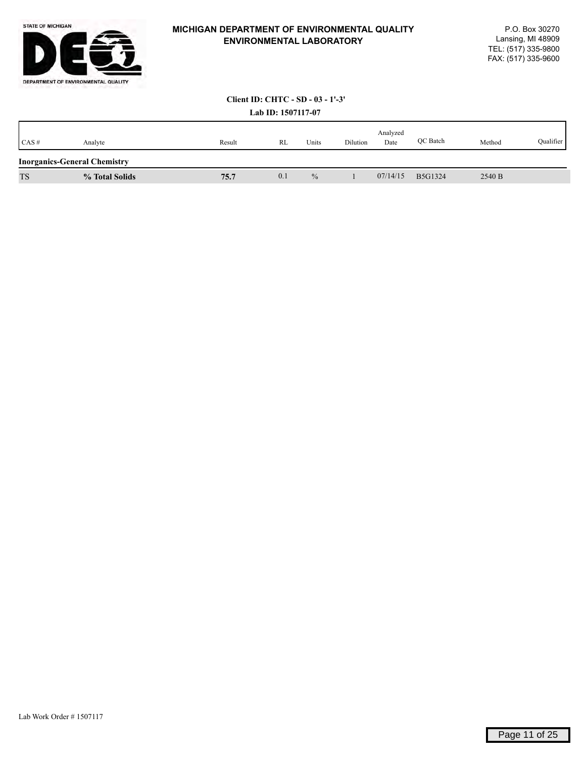

# **Client ID: CHTC - SD - 03 - 1'-3'**

|           |                                     |        | Lab ID: 1507117-07 |               |          |                  |          |        |           |
|-----------|-------------------------------------|--------|--------------------|---------------|----------|------------------|----------|--------|-----------|
| CAS#      | Analyte                             | Result | RL                 | Units         | Dilution | Analyzed<br>Date | OC Batch | Method | Qualifier |
|           | <b>Inorganics-General Chemistry</b> |        |                    |               |          |                  |          |        |           |
| <b>TS</b> | % Total Solids                      | 75.7   | 0.1                | $\frac{0}{0}$ |          | 07/14/15         | B5G1324  | 2540 B |           |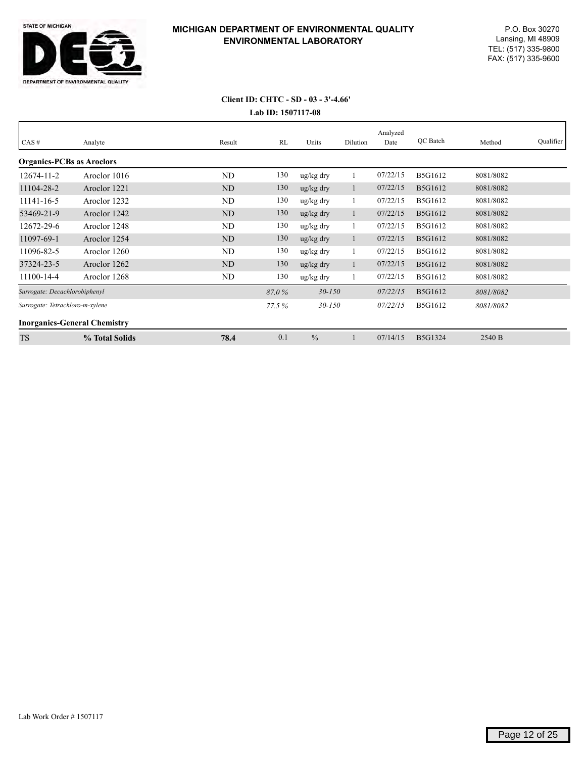

## **Lab ID: 1507117-08 Client ID: CHTC - SD - 03 - 3'-4.66'**

| CAS#                             | Analyte                             | Result    | RL    | Units                 | Dilution     | Analyzed<br>Date | QC Batch       | Method    | Qualifier |
|----------------------------------|-------------------------------------|-----------|-------|-----------------------|--------------|------------------|----------------|-----------|-----------|
| <b>Organics-PCBs as Aroclors</b> |                                     |           |       |                       |              |                  |                |           |           |
| 12674-11-2                       | Aroclor 1016                        | <b>ND</b> | 130   | ug/kg dry             |              | 07/22/15         | B5G1612        | 8081/8082 |           |
| 11104-28-2                       | Aroclor 1221                        | <b>ND</b> | 130   | ug/kg dry             | $\mathbf{I}$ | 07/22/15         | B5G1612        | 8081/8082 |           |
| 11141-16-5                       | Aroclor 1232                        | ND        | 130   | ug/kg dry             |              | 07/22/15         | B5G1612        | 8081/8082 |           |
| 53469-21-9                       | Aroclor 1242                        | <b>ND</b> | 130   | ug/kg dry             |              | 07/22/15         | B5G1612        | 8081/8082 |           |
| 12672-29-6                       | Aroclor 1248                        | <b>ND</b> | 130   | ug/kg dry             |              | 07/22/15         | B5G1612        | 8081/8082 |           |
| 11097-69-1                       | Aroclor 1254                        | ND        | 130   | ug/kg dry             |              | 07/22/15         | B5G1612        | 8081/8082 |           |
| 11096-82-5                       | Aroclor 1260                        | ND        | 130   | ug/kg dry             |              | 07/22/15         | B5G1612        | 8081/8082 |           |
| 37324-23-5                       | Aroclor 1262                        | <b>ND</b> | 130   | $\frac{u g}{k g}$ dry | Ι.           | 07/22/15         | B5G1612        | 8081/8082 |           |
| 11100-14-4                       | Aroclor 1268                        | ND        | 130   | ug/kg dry             |              | 07/22/15         | B5G1612        | 8081/8082 |           |
| Surrogate: Decachlorobiphenyl    |                                     |           | 87.0% | $30 - 150$            |              | 07/22/15         | B5G1612        | 8081/8082 |           |
| Surrogate: Tetrachloro-m-xylene  |                                     |           | 77.5% | $30 - 150$            |              | 07/22/15         | <b>B5G1612</b> | 8081/8082 |           |
|                                  | <b>Inorganics-General Chemistry</b> |           |       |                       |              |                  |                |           |           |
| <b>TS</b>                        | % Total Solids                      | 78.4      | 0.1   | $\frac{0}{0}$         |              | 07/14/15         | <b>B5G1324</b> | 2540 B    |           |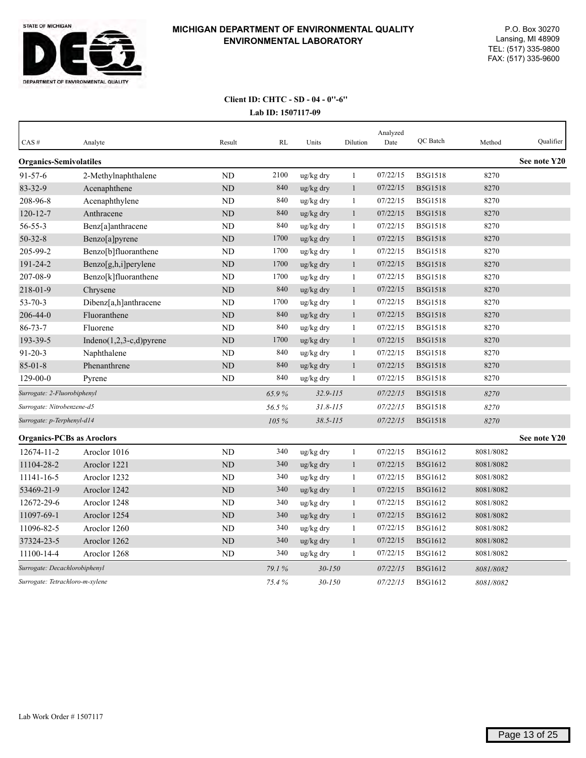

## **Lab ID: 1507117-09 Client ID: CHTC - SD - 04 - 0''-6''**

| CAS#                             | Analyte                     | Result         | <b>RL</b> | Units           | Dilution     | Analyzed<br>Date | QC Batch       | Method    | Qualifier    |
|----------------------------------|-----------------------------|----------------|-----------|-----------------|--------------|------------------|----------------|-----------|--------------|
| <b>Organics-Semivolatiles</b>    |                             |                |           |                 |              |                  |                |           | See note Y20 |
| $91 - 57 - 6$                    | 2-Methylnaphthalene         | <b>ND</b>      | 2100      | ug/kg dry       | $\mathbf{1}$ | 07/22/15         | <b>B5G1518</b> | 8270      |              |
| 83-32-9                          | Acenaphthene                | ND             | 840       | ug/kg dry       | $\mathbf{1}$ | 07/22/15         | <b>B5G1518</b> | 8270      |              |
| 208-96-8                         | Acenaphthylene              | N <sub>D</sub> | 840       | ug/kg dry       | $\mathbf{1}$ | 07/22/15         | <b>B5G1518</b> | 8270      |              |
| $120 - 12 - 7$                   | Anthracene                  | <b>ND</b>      | 840       | ug/kg dry       | $\mathbf{1}$ | 07/22/15         | B5G1518        | 8270      |              |
| $56 - 55 - 3$                    | Benz[a]anthracene           | <b>ND</b>      | 840       | ug/kg dry       | 1            | 07/22/15         | <b>B5G1518</b> | 8270      |              |
| $50 - 32 - 8$                    | Benzo[a]pyrene              | ND             | 1700      | ug/kg dry       | $\mathbf{1}$ | 07/22/15         | <b>B5G1518</b> | 8270      |              |
| 205-99-2                         | Benzo[b]fluoranthene        | <b>ND</b>      | 1700      | ug/kg dry       | $\mathbf{1}$ | 07/22/15         | <b>B5G1518</b> | 8270      |              |
| 191-24-2                         | Benzo[g,h,i]perylene        | ND             | 1700      | ug/kg dry       | $\mathbf{1}$ | 07/22/15         | <b>B5G1518</b> | 8270      |              |
| 207-08-9                         | Benzo[k]fluoranthene        | <b>ND</b>      | 1700      | ug/kg dry       | $\mathbf{1}$ | 07/22/15         | <b>B5G1518</b> | 8270      |              |
| 218-01-9                         | Chrysene                    | <b>ND</b>      | 840       | ug/kg dry       | $\mathbf{1}$ | 07/22/15         | <b>B5G1518</b> | 8270      |              |
| $53 - 70 - 3$                    | Dibenz[a,h]anthracene       | ND             | 1700      | ug/kg dry       | 1            | 07/22/15         | <b>B5G1518</b> | 8270      |              |
| $206 - 44 - 0$                   | Fluoranthene                | <b>ND</b>      | 840       | ug/kg dry       | $\mathbf{1}$ | 07/22/15         | <b>B5G1518</b> | 8270      |              |
| $86 - 73 - 7$                    | Fluorene                    | <b>ND</b>      | 840       | ug/kg dry       | $\mathbf{1}$ | 07/22/15         | <b>B5G1518</b> | 8270      |              |
| 193-39-5                         | Indeno $(1,2,3-c,d)$ pyrene | ND             | 1700      | $\rm ug/kg$ dry | $\mathbf{1}$ | 07/22/15         | <b>B5G1518</b> | 8270      |              |
| $91 - 20 - 3$                    | Naphthalene                 | <b>ND</b>      | 840       | ug/kg dry       | $\mathbf{1}$ | 07/22/15         | <b>B5G1518</b> | 8270      |              |
| $85 - 01 - 8$                    | Phenanthrene                | <b>ND</b>      | 840       | ug/kg dry       | $\mathbf{1}$ | 07/22/15         | <b>B5G1518</b> | 8270      |              |
| $129 - 00 - 0$                   | Pyrene                      | <b>ND</b>      | 840       | ug/kg dry       | 1            | 07/22/15         | <b>B5G1518</b> | 8270      |              |
| Surrogate: 2-Fluorobiphenyl      |                             |                | 65.9%     | $32.9 - 115$    |              | 07/22/15         | <b>B5G1518</b> | 8270      |              |
| Surrogate: Nitrobenzene-d5       |                             |                | 56.5%     | $31.8 - 115$    |              | 07/22/15         | <b>B5G1518</b> | 8270      |              |
| Surrogate: p-Terphenyl-d14       |                             |                | 105 %     | $38.5 - 115$    |              | 07/22/15         | <b>B5G1518</b> | 8270      |              |
| <b>Organics-PCBs as Aroclors</b> |                             |                |           |                 |              |                  |                |           | See note Y20 |
| 12674-11-2                       | Aroclor 1016                | <b>ND</b>      | 340       | ug/kg dry       | $\mathbf{1}$ | 07/22/15         | B5G1612        | 8081/8082 |              |
| 11104-28-2                       | Aroclor 1221                | <b>ND</b>      | 340       | ug/kg dry       | $\mathbf{1}$ | 07/22/15         | <b>B5G1612</b> | 8081/8082 |              |
| 11141-16-5                       | Aroclor 1232                | <b>ND</b>      | 340       | ug/kg dry       | $\mathbf{1}$ | 07/22/15         | B5G1612        | 8081/8082 |              |
| 53469-21-9                       | Aroclor 1242                | <b>ND</b>      | 340       | ug/kg dry       | $\mathbf{1}$ | 07/22/15         | B5G1612        | 8081/8082 |              |
| 12672-29-6                       | Aroclor 1248                | <b>ND</b>      | 340       | ug/kg dry       | $\mathbf{1}$ | 07/22/15         | B5G1612        | 8081/8082 |              |
| 11097-69-1                       | Aroclor 1254                | ND             | 340       | ug/kg dry       | $\mathbf{1}$ | 07/22/15         | B5G1612        | 8081/8082 |              |
| 11096-82-5                       | Aroclor 1260                | ND             | 340       | ug/kg dry       | $\mathbf{1}$ | 07/22/15         | B5G1612        | 8081/8082 |              |
| 37324-23-5                       | Aroclor 1262                | <b>ND</b>      | 340       | ug/kg dry       | $\mathbf{1}$ | 07/22/15         | B5G1612        | 8081/8082 |              |
| 11100-14-4                       | Aroclor 1268                | <b>ND</b>      | 340       | ug/kg dry       | $\mathbf{1}$ | 07/22/15         | B5G1612        | 8081/8082 |              |
| Surrogate: Decachlorobiphenyl    |                             |                | 79.1%     | $30 - 150$      |              | 07/22/15         | <b>B5G1612</b> | 8081/8082 |              |
| Surrogate: Tetrachloro-m-xylene  |                             |                | 75.4%     | $30 - 150$      |              | 07/22/15         | <b>B5G1612</b> | 8081/8082 |              |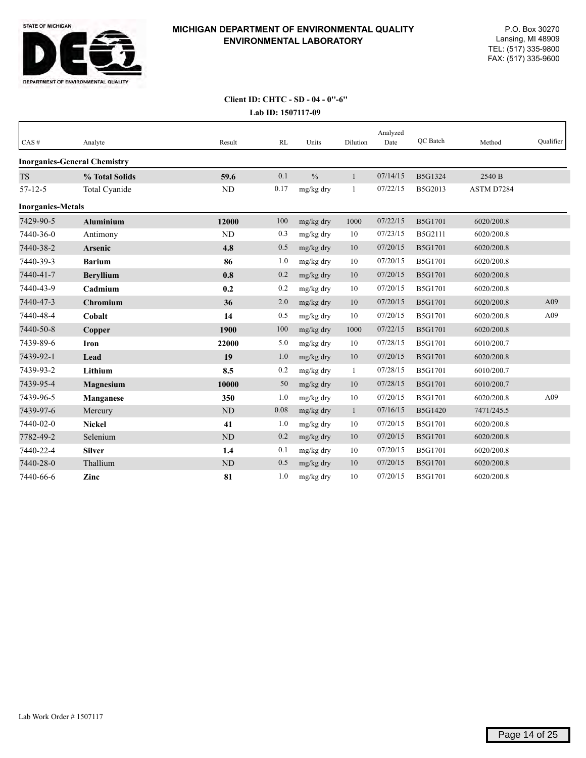

#### **Lab ID: 1507117-09 Client ID: CHTC - SD - 04 - 0''-6''**

| CAS#                     | Analyte                             | Result    | RL   | Units         | Dilution     | Analyzed<br>Date | QC Batch       | Method     | Oualifier |
|--------------------------|-------------------------------------|-----------|------|---------------|--------------|------------------|----------------|------------|-----------|
|                          | <b>Inorganics-General Chemistry</b> |           |      |               |              |                  |                |            |           |
| <b>TS</b>                | % Total Solids                      | 59.6      | 0.1  | $\frac{0}{0}$ | $\mathbf{1}$ | 07/14/15         | B5G1324        | 2540 B     |           |
| $57 - 12 - 5$            | Total Cyanide                       | <b>ND</b> | 0.17 | mg/kg dry     | 1            | 07/22/15         | B5G2013        | ASTM D7284 |           |
| <b>Inorganics-Metals</b> |                                     |           |      |               |              |                  |                |            |           |
| 7429-90-5                | Aluminium                           | 12000     | 100  | mg/kg dry     | 1000         | 07/22/15         | B5G1701        | 6020/200.8 |           |
| 7440-36-0                | Antimony                            | ND        | 0.3  | mg/kg dry     | 10           | 07/23/15         | B5G2111        | 6020/200.8 |           |
| 7440-38-2                | Arsenic                             | 4.8       | 0.5  | mg/kg dry     | 10           | 07/20/15         | <b>B5G1701</b> | 6020/200.8 |           |
| 7440-39-3                | <b>Barium</b>                       | 86        | 1.0  | mg/kg dry     | 10           | 07/20/15         | B5G1701        | 6020/200.8 |           |
| 7440-41-7                | <b>Beryllium</b>                    | 0.8       | 0.2  | mg/kg dry     | 10           | 07/20/15         | <b>B5G1701</b> | 6020/200.8 |           |
| 7440-43-9                | Cadmium                             | 0.2       | 0.2  | mg/kg dry     | 10           | 07/20/15         | B5G1701        | 6020/200.8 |           |
| 7440-47-3                | Chromium                            | 36        | 2.0  | mg/kg dry     | 10           | 07/20/15         | <b>B5G1701</b> | 6020/200.8 | A09       |
| 7440-48-4                | Cobalt                              | 14        | 0.5  | mg/kg dry     | 10           | 07/20/15         | <b>B5G1701</b> | 6020/200.8 | A09       |
| 7440-50-8                | Copper                              | 1900      | 100  | mg/kg dry     | 1000         | 07/22/15         | <b>B5G1701</b> | 6020/200.8 |           |
| 7439-89-6                | <b>Iron</b>                         | 22000     | 5.0  | mg/kg dry     | 10           | 07/28/15         | B5G1701        | 6010/200.7 |           |
| 7439-92-1                | Lead                                | 19        | 1.0  | mg/kg dry     | 10           | 07/20/15         | <b>B5G1701</b> | 6020/200.8 |           |
| 7439-93-2                | Lithium                             | 8.5       | 0.2  | mg/kg dry     | 1            | 07/28/15         | B5G1701        | 6010/200.7 |           |
| 7439-95-4                | <b>Magnesium</b>                    | 10000     | 50   | mg/kg dry     | 10           | 07/28/15         | <b>B5G1701</b> | 6010/200.7 |           |
| 7439-96-5                | Manganese                           | 350       | 1.0  | mg/kg dry     | 10           | 07/20/15         | B5G1701        | 6020/200.8 | A09       |
| 7439-97-6                | Mercury                             | <b>ND</b> | 0.08 | mg/kg dry     | $\mathbf{1}$ | 07/16/15         | B5G1420        | 7471/245.5 |           |
| 7440-02-0                | <b>Nickel</b>                       | 41        | 1.0  | mg/kg dry     | 10           | 07/20/15         | B5G1701        | 6020/200.8 |           |
| 7782-49-2                | Selenium                            | <b>ND</b> | 0.2  | mg/kg dry     | 10           | 07/20/15         | <b>B5G1701</b> | 6020/200.8 |           |
| 7440-22-4                | <b>Silver</b>                       | 1.4       | 0.1  | mg/kg dry     | 10           | 07/20/15         | B5G1701        | 6020/200.8 |           |
| 7440-28-0                | Thallium                            | <b>ND</b> | 0.5  | mg/kg dry     | 10           | 07/20/15         | <b>B5G1701</b> | 6020/200.8 |           |
| 7440-66-6                | Zinc                                | 81        | 1.0  | mg/kg dry     | 10           | 07/20/15         | B5G1701        | 6020/200.8 |           |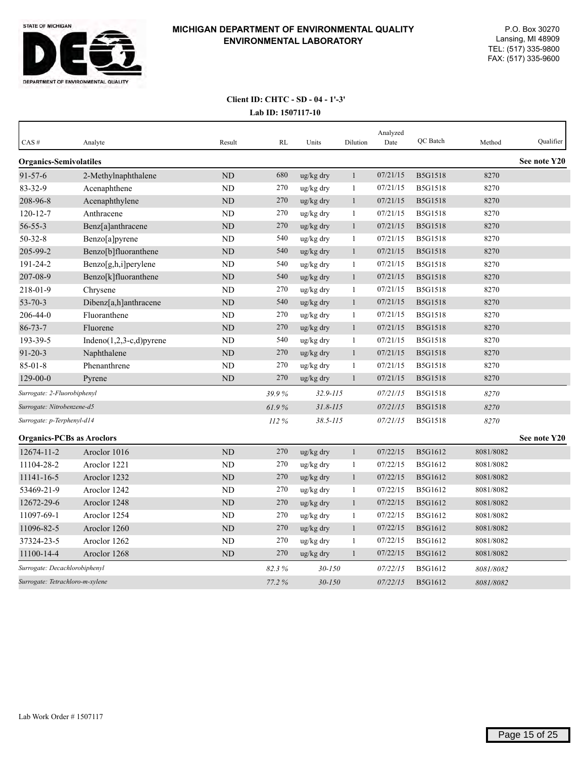

# **Lab ID: 1507117-10 Client ID: CHTC - SD - 04 - 1'-3'**

| $CAS$ #                          | Analyte                     | Result         | <b>RL</b> | Units        | Dilution     | Analyzed<br>Date | QC Batch       | Method    | Oualifier    |
|----------------------------------|-----------------------------|----------------|-----------|--------------|--------------|------------------|----------------|-----------|--------------|
| <b>Organics-Semivolatiles</b>    |                             |                |           |              |              |                  |                |           | See note Y20 |
| $91 - 57 - 6$                    | 2-Methylnaphthalene         | N <sub>D</sub> | 680       | ug/kg dry    | $\mathbf{1}$ | 07/21/15         | <b>B5G1518</b> | 8270      |              |
| 83-32-9                          | Acenaphthene                | N <sub>D</sub> | 270       | ug/kg dry    | $\mathbf{1}$ | 07/21/15         | <b>B5G1518</b> | 8270      |              |
| 208-96-8                         | Acenaphthylene              | <b>ND</b>      | 270       | ug/kg dry    | $\mathbf{1}$ | 07/21/15         | B5G1518        | 8270      |              |
| $120 - 12 - 7$                   | Anthracene                  | N <sub>D</sub> | 270       | ug/kg dry    | 1            | 07/21/15         | <b>B5G1518</b> | 8270      |              |
| $56 - 55 - 3$                    | Benz[a]anthracene           | ND             | 270       | ug/kg dry    | $\mathbf{1}$ | 07/21/15         | B5G1518        | 8270      |              |
| $50 - 32 - 8$                    | Benzo[a]pyrene              | <b>ND</b>      | 540       | ug/kg dry    | $\mathbf{1}$ | 07/21/15         | <b>B5G1518</b> | 8270      |              |
| 205-99-2                         | Benzo[b]fluoranthene        | ND             | 540       | ug/kg dry    | $\mathbf{1}$ | 07/21/15         | <b>B5G1518</b> | 8270      |              |
| 191-24-2                         | Benzo[g,h,i]perylene        | <b>ND</b>      | 540       | ug/kg dry    | $\mathbf{1}$ | 07/21/15         | <b>B5G1518</b> | 8270      |              |
| 207-08-9                         | Benzo[k]fluoranthene        | ND             | 540       | ug/kg dry    | $\mathbf{1}$ | 07/21/15         | <b>B5G1518</b> | 8270      |              |
| 218-01-9                         | Chrysene                    | <b>ND</b>      | 270       | ug/kg dry    | $\mathbf{1}$ | 07/21/15         | <b>B5G1518</b> | 8270      |              |
| $53 - 70 - 3$                    | Dibenz[a,h]anthracene       | <b>ND</b>      | 540       | ug/kg dry    | $\mathbf{1}$ | 07/21/15         | <b>B5G1518</b> | 8270      |              |
| 206-44-0                         | Fluoranthene                | <b>ND</b>      | 270       | ug/kg dry    | $\mathbf{1}$ | 07/21/15         | <b>B5G1518</b> | 8270      |              |
| $86 - 73 - 7$                    | Fluorene                    | <b>ND</b>      | 270       | ug/kg dry    | $\mathbf{1}$ | 07/21/15         | <b>B5G1518</b> | 8270      |              |
| 193-39-5                         | Indeno $(1,2,3-c,d)$ pyrene | <b>ND</b>      | 540       | ug/kg dry    | $\mathbf{1}$ | 07/21/15         | <b>B5G1518</b> | 8270      |              |
| $91 - 20 - 3$                    | Naphthalene                 | <b>ND</b>      | 270       | ug/kg dry    | $\mathbf{1}$ | 07/21/15         | <b>B5G1518</b> | 8270      |              |
| $85 - 01 - 8$                    | Phenanthrene                | <b>ND</b>      | 270       | ug/kg dry    | $\mathbf{1}$ | 07/21/15         | <b>B5G1518</b> | 8270      |              |
| $129 - 00 - 0$                   | Pyrene                      | ND             | 270       | ug/kg dry    | $\mathbf{1}$ | 07/21/15         | <b>B5G1518</b> | 8270      |              |
| Surrogate: 2-Fluorobiphenyl      |                             |                | 39.9%     | $32.9 - 115$ |              | 07/21/15         | <b>B5G1518</b> | 8270      |              |
| Surrogate: Nitrobenzene-d5       |                             |                | 61.9%     | $31.8 - 115$ |              | 07/21/15         | <b>B5G1518</b> | 8270      |              |
| Surrogate: p-Terphenyl-d14       |                             |                | 112 %     | $38.5 - 115$ |              | 07/21/15         | <b>B5G1518</b> | 8270      |              |
| <b>Organics-PCBs as Aroclors</b> |                             |                |           |              |              |                  |                |           | See note Y20 |
| 12674-11-2                       | Aroclor 1016                | <b>ND</b>      | 270       | ug/kg dry    | $\mathbf{1}$ | 07/22/15         | B5G1612        | 8081/8082 |              |
| 11104-28-2                       | Aroclor 1221                | <b>ND</b>      | 270       | ug/kg dry    | $\mathbf{1}$ | 07/22/15         | B5G1612        | 8081/8082 |              |
| 11141-16-5                       | Aroclor 1232                | <b>ND</b>      | 270       | ug/kg dry    | $\mathbf{1}$ | 07/22/15         | B5G1612        | 8081/8082 |              |
| 53469-21-9                       | Aroclor 1242                | ND             | 270       | ug/kg dry    | $\mathbf{1}$ | 07/22/15         | B5G1612        | 8081/8082 |              |
| 12672-29-6                       | Aroclor 1248                | <b>ND</b>      | 270       | ug/kg dry    | $\mathbf{1}$ | 07/22/15         | B5G1612        | 8081/8082 |              |
| 11097-69-1                       | Aroclor 1254                | ND             | 270       | ug/kg dry    | 1            | 07/22/15         | B5G1612        | 8081/8082 |              |
| 11096-82-5                       | Aroclor 1260                | <b>ND</b>      | 270       | ug/kg dry    | $\mathbf{1}$ | 07/22/15         | B5G1612        | 8081/8082 |              |
| 37324-23-5                       | Aroclor 1262                | <b>ND</b>      | 270       | ug/kg dry    | $\mathbf{1}$ | 07/22/15         | B5G1612        | 8081/8082 |              |
| 11100-14-4                       | Aroclor 1268                | <b>ND</b>      | 270       | ug/kg dry    | $\mathbf{1}$ | 07/22/15         | <b>B5G1612</b> | 8081/8082 |              |
| Surrogate: Decachlorobiphenyl    |                             |                | 82.3%     | $30 - 150$   |              | 07/22/15         | B5G1612        | 8081/8082 |              |
| Surrogate: Tetrachloro-m-xylene  |                             |                | 77.2%     | $30 - 150$   |              | 07/22/15         | <b>B5G1612</b> | 8081/8082 |              |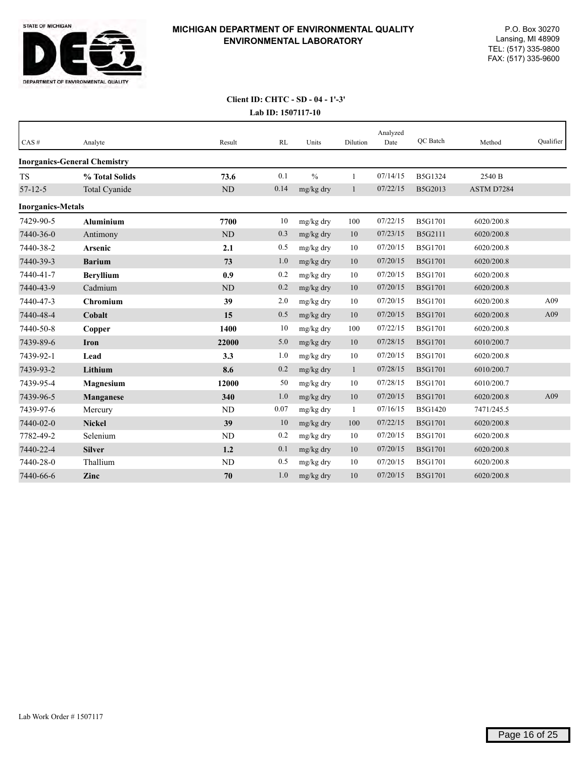

# **Lab ID: 1507117-10 Client ID: CHTC - SD - 04 - 1'-3'**

| CAS#                     | Analyte                             | Result    | RL   | Units         | Dilution     | Analyzed<br>Date | QC Batch       | Method     | Oualifier |
|--------------------------|-------------------------------------|-----------|------|---------------|--------------|------------------|----------------|------------|-----------|
|                          | <b>Inorganics-General Chemistry</b> |           |      |               |              |                  |                |            |           |
| <b>TS</b>                | % Total Solids                      | 73.6      | 0.1  | $\frac{0}{0}$ | $\mathbf{1}$ | 07/14/15         | B5G1324        | 2540 B     |           |
| $57 - 12 - 5$            | Total Cyanide                       | $\rm ND$  | 0.14 | mg/kg dry     | $\mathbf{1}$ | 07/22/15         | B5G2013        | ASTM D7284 |           |
| <b>Inorganics-Metals</b> |                                     |           |      |               |              |                  |                |            |           |
| 7429-90-5                | <b>Aluminium</b>                    | 7700      | 10   | mg/kg dry     | 100          | 07/22/15         | <b>B5G1701</b> | 6020/200.8 |           |
| 7440-36-0                | Antimony                            | ND        | 0.3  | mg/kg dry     | 10           | 07/23/15         | B5G2111        | 6020/200.8 |           |
| 7440-38-2                | Arsenic                             | 2.1       | 0.5  | mg/kg dry     | 10           | 07/20/15         | B5G1701        | 6020/200.8 |           |
| 7440-39-3                | <b>Barium</b>                       | 73        | 1.0  | mg/kg dry     | 10           | 07/20/15         | <b>B5G1701</b> | 6020/200.8 |           |
| 7440-41-7                | <b>Beryllium</b>                    | 0.9       | 0.2  | mg/kg dry     | 10           | 07/20/15         | <b>B5G1701</b> | 6020/200.8 |           |
| 7440-43-9                | Cadmium                             | <b>ND</b> | 0.2  | mg/kg dry     | 10           | 07/20/15         | <b>B5G1701</b> | 6020/200.8 |           |
| 7440-47-3                | Chromium                            | 39        | 2.0  | mg/kg dry     | 10           | 07/20/15         | <b>B5G1701</b> | 6020/200.8 | A09       |
| 7440-48-4                | Cobalt                              | 15        | 0.5  | mg/kg dry     | 10           | 07/20/15         | <b>B5G1701</b> | 6020/200.8 | A09       |
| 7440-50-8                | Copper                              | 1400      | 10   | mg/kg dry     | 100          | 07/22/15         | <b>B5G1701</b> | 6020/200.8 |           |
| 7439-89-6                | Iron                                | 22000     | 5.0  | mg/kg dry     | 10           | 07/28/15         | <b>B5G1701</b> | 6010/200.7 |           |
| 7439-92-1                | Lead                                | 3.3       | 1.0  | mg/kg dry     | 10           | 07/20/15         | <b>B5G1701</b> | 6020/200.8 |           |
| 7439-93-2                | Lithium                             | 8.6       | 0.2  | mg/kg dry     | -1           | 07/28/15         | <b>B5G1701</b> | 6010/200.7 |           |
| 7439-95-4                | <b>Magnesium</b>                    | 12000     | 50   | mg/kg dry     | 10           | 07/28/15         | B5G1701        | 6010/200.7 |           |
| 7439-96-5                | Manganese                           | 340       | 1.0  | mg/kg dry     | 10           | 07/20/15         | <b>B5G1701</b> | 6020/200.8 | A09       |
| 7439-97-6                | Mercury                             | <b>ND</b> | 0.07 | mg/kg dry     | 1            | 07/16/15         | <b>B5G1420</b> | 7471/245.5 |           |
| 7440-02-0                | <b>Nickel</b>                       | 39        | 10   | mg/kg dry     | 100          | 07/22/15         | <b>B5G1701</b> | 6020/200.8 |           |
| 7782-49-2                | Selenium                            | ND        | 0.2  | mg/kg dry     | 10           | 07/20/15         | <b>B5G1701</b> | 6020/200.8 |           |
| 7440-22-4                | <b>Silver</b>                       | 1.2       | 0.1  | mg/kg dry     | 10           | 07/20/15         | <b>B5G1701</b> | 6020/200.8 |           |
| 7440-28-0                | Thallium                            | <b>ND</b> | 0.5  | mg/kg dry     | 10           | 07/20/15         | <b>B5G1701</b> | 6020/200.8 |           |
| 7440-66-6                | Zinc                                | 70        | 1.0  | mg/kg dry     | 10           | 07/20/15         | <b>B5G1701</b> | 6020/200.8 |           |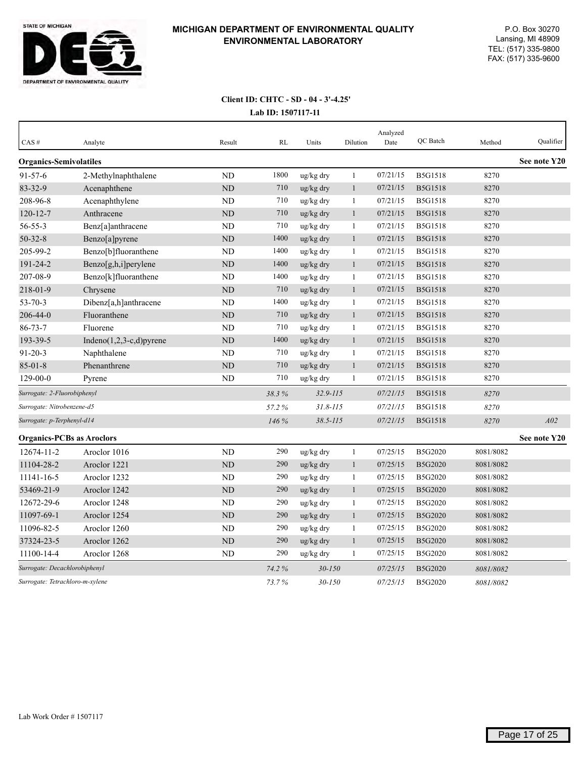

## **Lab ID: 1507117-11 Client ID: CHTC - SD - 04 - 3'-4.25'**

| CAS#                             | Analyte                     | Result         | RL    | Units        | Dilution     | Analyzed<br>Date | QC Batch       | Method    | Qualifier    |
|----------------------------------|-----------------------------|----------------|-------|--------------|--------------|------------------|----------------|-----------|--------------|
| <b>Organics-Semivolatiles</b>    |                             |                |       |              |              |                  |                |           | See note Y20 |
| $91 - 57 - 6$                    | 2-Methylnaphthalene         | <b>ND</b>      | 1800  | ug/kg dry    | $\mathbf{1}$ | 07/21/15         | <b>B5G1518</b> | 8270      |              |
| 83-32-9                          | Acenaphthene                | ND             | 710   | ug/kg dry    | $\mathbf{1}$ | 07/21/15         | B5G1518        | 8270      |              |
| 208-96-8                         | Acenaphthylene              | ND             | 710   | ug/kg dry    | $\mathbf{1}$ | 07/21/15         | <b>B5G1518</b> | 8270      |              |
| $120 - 12 - 7$                   | Anthracene                  | <b>ND</b>      | 710   | ug/kg dry    | $\mathbf{1}$ | 07/21/15         | <b>B5G1518</b> | 8270      |              |
| $56 - 55 - 3$                    | Benz[a]anthracene           | N <sub>D</sub> | 710   | ug/kg dry    | $\mathbf{1}$ | 07/21/15         | <b>B5G1518</b> | 8270      |              |
| $50 - 32 - 8$                    | Benzo[a]pyrene              | ND             | 1400  | ug/kg dry    | $\mathbf{1}$ | 07/21/15         | <b>B5G1518</b> | 8270      |              |
| 205-99-2                         | Benzo[b]fluoranthene        | ND             | 1400  | ug/kg dry    | $\mathbf{1}$ | 07/21/15         | <b>B5G1518</b> | 8270      |              |
| 191-24-2                         | Benzo[g,h,i]perylene        | ND             | 1400  | ug/kg dry    | $\mathbf{1}$ | 07/21/15         | <b>B5G1518</b> | 8270      |              |
| 207-08-9                         | Benzo[k]fluoranthene        | <b>ND</b>      | 1400  | ug/kg dry    | $\mathbf{1}$ | 07/21/15         | <b>B5G1518</b> | 8270      |              |
| 218-01-9                         | Chrysene                    | ND             | 710   | ug/kg dry    | $\mathbf{1}$ | 07/21/15         | <b>B5G1518</b> | 8270      |              |
| $53 - 70 - 3$                    | Dibenz[a,h]anthracene       | <b>ND</b>      | 1400  | ug/kg dry    | $\mathbf{1}$ | 07/21/15         | <b>B5G1518</b> | 8270      |              |
| 206-44-0                         | Fluoranthene                | <b>ND</b>      | 710   | ug/kg dry    | $\mathbf{1}$ | 07/21/15         | <b>B5G1518</b> | 8270      |              |
| $86 - 73 - 7$                    | Fluorene                    | ND             | 710   | ug/kg dry    | -1           | 07/21/15         | <b>B5G1518</b> | 8270      |              |
| 193-39-5                         | Indeno $(1,2,3-c,d)$ pyrene | $\rm ND$       | 1400  | ug/kg dry    | $\mathbf{1}$ | 07/21/15         | <b>B5G1518</b> | 8270      |              |
| $91 - 20 - 3$                    | Naphthalene                 | <b>ND</b>      | 710   | ug/kg dry    | 1            | 07/21/15         | <b>B5G1518</b> | 8270      |              |
| $85 - 01 - 8$                    | Phenanthrene                | ND             | 710   | ug/kg dry    | $\mathbf{1}$ | 07/21/15         | <b>B5G1518</b> | 8270      |              |
| 129-00-0                         | Pyrene                      | ${\rm ND}$     | 710   | ug/kg dry    | $\mathbf{1}$ | 07/21/15         | <b>B5G1518</b> | 8270      |              |
| Surrogate: 2-Fluorobiphenyl      |                             |                | 38.3% | 32.9-115     |              | 07/21/15         | <b>B5G1518</b> | 8270      |              |
| Surrogate: Nitrobenzene-d5       |                             |                | 57.2% | $31.8 - 115$ |              | 07/21/15         | <b>B5G1518</b> | 8270      |              |
| Surrogate: p-Terphenyl-d14       |                             |                | 146 % | $38.5 - 115$ |              | 07/21/15         | <b>B5G1518</b> | 8270      | A02          |
| <b>Organics-PCBs as Aroclors</b> |                             |                |       |              |              |                  |                |           | See note Y20 |
| 12674-11-2                       | Aroclor 1016                | ND             | 290   | ug/kg dry    | $\mathbf{1}$ | 07/25/15         | B5G2020        | 8081/8082 |              |
| 11104-28-2                       | Aroclor 1221                | $\rm ND$       | 290   | ug/kg dry    | $\mathbf{1}$ | 07/25/15         | B5G2020        | 8081/8082 |              |
| 11141-16-5                       | Aroclor 1232                | <b>ND</b>      | 290   | ug/kg dry    | $\mathbf{1}$ | 07/25/15         | B5G2020        | 8081/8082 |              |
| 53469-21-9                       | Aroclor 1242                | ND             | 290   | ug/kg dry    | $\mathbf{1}$ | 07/25/15         | B5G2020        | 8081/8082 |              |
| 12672-29-6                       | Aroclor 1248                | ND             | 290   | ug/kg dry    | 1            | 07/25/15         | B5G2020        | 8081/8082 |              |
| 11097-69-1                       | Aroclor 1254                | <b>ND</b>      | 290   | ug/kg dry    | $\mathbf{1}$ | 07/25/15         | B5G2020        | 8081/8082 |              |
| 11096-82-5                       | Aroclor 1260                | <b>ND</b>      | 290   | ug/kg dry    | $\mathbf{1}$ | 07/25/15         | B5G2020        | 8081/8082 |              |
| 37324-23-5                       | Aroclor 1262                | <b>ND</b>      | 290   | ug/kg dry    | $\mathbf{1}$ | 07/25/15         | B5G2020        | 8081/8082 |              |
| 11100-14-4                       | Aroclor 1268                | <b>ND</b>      | 290   | ug/kg dry    | 1            | 07/25/15         | B5G2020        | 8081/8082 |              |
| Surrogate: Decachlorobiphenyl    |                             |                | 74.2% | $30 - 150$   |              | 07/25/15         | <b>B5G2020</b> | 8081/8082 |              |
| Surrogate: Tetrachloro-m-xylene  |                             |                | 73.7% | $30 - 150$   |              | 07/25/15         | B5G2020        | 8081/8082 |              |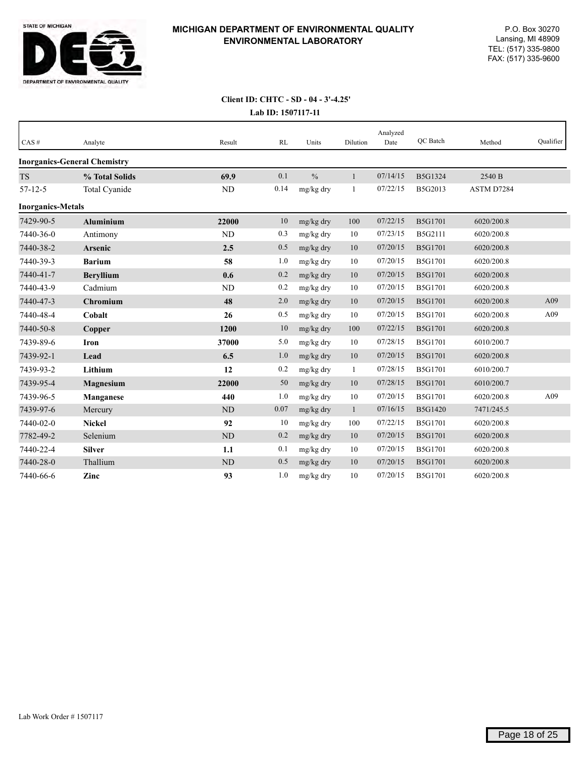

#### **Lab ID: 1507117-11 Client ID: CHTC - SD - 04 - 3'-4.25'**

| CAS#                     | Analyte                             | Result    | RL   | Units         | Dilution     | Analyzed<br>Date | <b>OC</b> Batch | Method     | Qualifier |
|--------------------------|-------------------------------------|-----------|------|---------------|--------------|------------------|-----------------|------------|-----------|
|                          | <b>Inorganics-General Chemistry</b> |           |      |               |              |                  |                 |            |           |
| <b>TS</b>                | % Total Solids                      | 69.9      | 0.1  | $\frac{0}{0}$ | $\mathbf{1}$ | 07/14/15         | B5G1324         | 2540 B     |           |
| $57 - 12 - 5$            | Total Cyanide                       | <b>ND</b> | 0.14 | mg/kg dry     | 1            | 07/22/15         | B5G2013         | ASTM D7284 |           |
| <b>Inorganics-Metals</b> |                                     |           |      |               |              |                  |                 |            |           |
| 7429-90-5                | <b>Aluminium</b>                    | 22000     | 10   | mg/kg dry     | 100          | 07/22/15         | <b>B5G1701</b>  | 6020/200.8 |           |
| 7440-36-0                | Antimony                            | <b>ND</b> | 0.3  | mg/kg dry     | 10           | 07/23/15         | B5G2111         | 6020/200.8 |           |
| 7440-38-2                | Arsenic                             | 2.5       | 0.5  | mg/kg dry     | 10           | 07/20/15         | <b>B5G1701</b>  | 6020/200.8 |           |
| 7440-39-3                | <b>Barium</b>                       | 58        | 1.0  | mg/kg dry     | 10           | 07/20/15         | <b>B5G1701</b>  | 6020/200.8 |           |
| 7440-41-7                | <b>Bervllium</b>                    | 0.6       | 0.2  | mg/kg dry     | 10           | 07/20/15         | <b>B5G1701</b>  | 6020/200.8 |           |
| 7440-43-9                | Cadmium                             | <b>ND</b> | 0.2  | mg/kg dry     | 10           | 07/20/15         | B5G1701         | 6020/200.8 |           |
| 7440-47-3                | Chromium                            | 48        | 2.0  | mg/kg dry     | 10           | 07/20/15         | <b>B5G1701</b>  | 6020/200.8 | A09       |
| 7440-48-4                | Cobalt                              | 26        | 0.5  | mg/kg dry     | 10           | 07/20/15         | <b>B5G1701</b>  | 6020/200.8 | A09       |
| 7440-50-8                | Copper                              | 1200      | 10   | mg/kg dry     | 100          | 07/22/15         | <b>B5G1701</b>  | 6020/200.8 |           |
| 7439-89-6                | <b>Iron</b>                         | 37000     | 5.0  | mg/kg dry     | 10           | 07/28/15         | B5G1701         | 6010/200.7 |           |
| 7439-92-1                | Lead                                | 6.5       | 1.0  | mg/kg dry     | 10           | 07/20/15         | <b>B5G1701</b>  | 6020/200.8 |           |
| 7439-93-2                | Lithium                             | 12        | 0.2  | mg/kg dry     | 1            | 07/28/15         | <b>B5G1701</b>  | 6010/200.7 |           |
| 7439-95-4                | <b>Magnesium</b>                    | 22000     | 50   | mg/kg dry     | 10           | 07/28/15         | <b>B5G1701</b>  | 6010/200.7 |           |
| 7439-96-5                | Manganese                           | 440       | 1.0  | mg/kg dry     | 10           | 07/20/15         | <b>B5G1701</b>  | 6020/200.8 | A09       |
| 7439-97-6                | Mercury                             | <b>ND</b> | 0.07 | mg/kg dry     | $\mathbf{1}$ | 07/16/15         | <b>B5G1420</b>  | 7471/245.5 |           |
| 7440-02-0                | <b>Nickel</b>                       | 92        | 10   | mg/kg dry     | 100          | 07/22/15         | <b>B5G1701</b>  | 6020/200.8 |           |
| 7782-49-2                | Selenium                            | <b>ND</b> | 0.2  | mg/kg dry     | 10           | 07/20/15         | <b>B5G1701</b>  | 6020/200.8 |           |
| 7440-22-4                | <b>Silver</b>                       | 1.1       | 0.1  | mg/kg dry     | 10           | 07/20/15         | B5G1701         | 6020/200.8 |           |
| 7440-28-0                | Thallium                            | <b>ND</b> | 0.5  | mg/kg dry     | 10           | 07/20/15         | <b>B5G1701</b>  | 6020/200.8 |           |
| 7440-66-6                | Zinc                                | 93        | 1.0  | mg/kg dry     | 10           | 07/20/15         | <b>B5G1701</b>  | 6020/200.8 |           |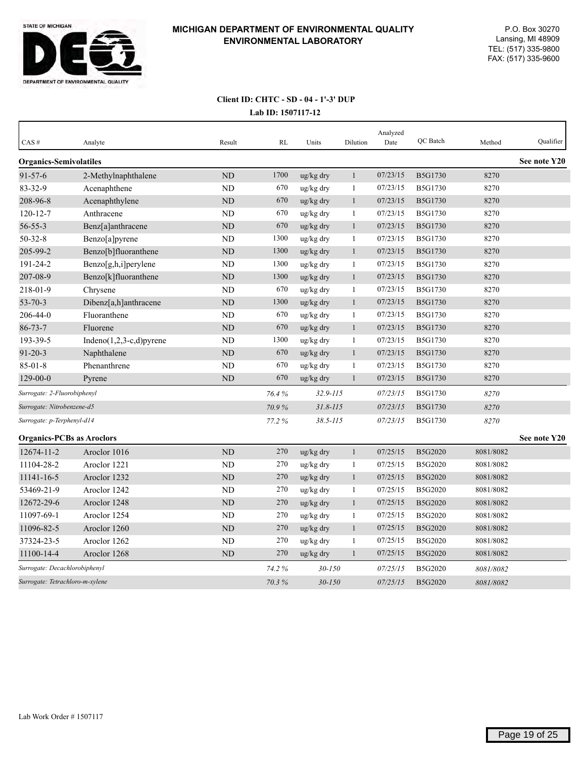

## **Lab ID: 1507117-12 Client ID: CHTC - SD - 04 - 1'-3' DUP**

| CAS#                             | Analyte                     | Result    | <b>RL</b> | Units        | Dilution     | Analyzed<br>Date | QC Batch       | Method    | Qualifier    |
|----------------------------------|-----------------------------|-----------|-----------|--------------|--------------|------------------|----------------|-----------|--------------|
| <b>Organics-Semivolatiles</b>    |                             |           |           |              |              |                  |                |           | See note Y20 |
| $91 - 57 - 6$                    | 2-Methylnaphthalene         | ND        | 1700      | ug/kg dry    | $\mathbf{1}$ | 07/23/15         | B5G1730        | 8270      |              |
| 83-32-9                          | Acenaphthene                | <b>ND</b> | 670       | ug/kg dry    | $\mathbf{1}$ | 07/23/15         | B5G1730        | 8270      |              |
| 208-96-8                         | Acenaphthylene              | ND        | 670       | ug/kg dry    | $\mathbf{1}$ | 07/23/15         | <b>B5G1730</b> | 8270      |              |
| $120 - 12 - 7$                   | Anthracene                  | <b>ND</b> | 670       | ug/kg dry    | 1            | 07/23/15         | B5G1730        | 8270      |              |
| $56 - 55 - 3$                    | Benz[a]anthracene           | ND        | 670       | ug/kg dry    | $\mathbf{1}$ | 07/23/15         | <b>B5G1730</b> | 8270      |              |
| $50 - 32 - 8$                    | Benzo[a]pyrene              | <b>ND</b> | 1300      | ug/kg dry    | $\mathbf{1}$ | 07/23/15         | B5G1730        | 8270      |              |
| 205-99-2                         | Benzo[b]fluoranthene        | $\rm ND$  | 1300      | ug/kg dry    | $\mathbf{1}$ | 07/23/15         | B5G1730        | 8270      |              |
| 191-24-2                         | Benzo[g,h,i]perylene        | ND        | 1300      | ug/kg dry    | $\mathbf{1}$ | 07/23/15         | B5G1730        | 8270      |              |
| 207-08-9                         | Benzo[k]fluoranthene        | <b>ND</b> | 1300      | ug/kg dry    | $\mathbf{1}$ | 07/23/15         | B5G1730        | 8270      |              |
| 218-01-9                         | Chrysene                    | <b>ND</b> | 670       | ug/kg dry    | 1            | 07/23/15         | B5G1730        | 8270      |              |
| $53 - 70 - 3$                    | Dibenz[a,h]anthracene       | <b>ND</b> | 1300      | ug/kg dry    | $\mathbf{1}$ | 07/23/15         | B5G1730        | 8270      |              |
| 206-44-0                         | Fluoranthene                | <b>ND</b> | 670       | ug/kg dry    | $\mathbf{1}$ | 07/23/15         | B5G1730        | 8270      |              |
| $86 - 73 - 7$                    | Fluorene                    | <b>ND</b> | 670       | ug/kg dry    | $\mathbf{1}$ | 07/23/15         | B5G1730        | 8270      |              |
| 193-39-5                         | Indeno $(1,2,3-c,d)$ pyrene | ND        | 1300      | ug/kg dry    | $\mathbf{1}$ | 07/23/15         | B5G1730        | 8270      |              |
| $91 - 20 - 3$                    | Naphthalene                 | <b>ND</b> | 670       | ug/kg dry    | $\mathbf{1}$ | 07/23/15         | B5G1730        | 8270      |              |
| $85 - 01 - 8$                    | Phenanthrene                | ND        | 670       | ug/kg dry    | 1            | 07/23/15         | B5G1730        | 8270      |              |
| $129 - 00 - 0$                   | Pyrene                      | ND        | 670       | ug/kg dry    | 1            | 07/23/15         | B5G1730        | 8270      |              |
| Surrogate: 2-Fluorobiphenyl      |                             |           | 76.4%     | $32.9 - 115$ |              | 07/23/15         | <b>B5G1730</b> | 8270      |              |
| Surrogate: Nitrobenzene-d5       |                             |           | 70.9%     | $31.8 - 115$ |              | 07/23/15         | <b>B5G1730</b> | 8270      |              |
| Surrogate: p-Terphenyl-d14       |                             |           | 77.2%     | $38.5 - 115$ |              | 07/23/15         | B5G1730        | 8270      |              |
| <b>Organics-PCBs as Aroclors</b> |                             |           |           |              |              |                  |                |           | See note Y20 |
| 12674-11-2                       | Aroclor 1016                | <b>ND</b> | 270       | ug/kg dry    | $\mathbf{1}$ | 07/25/15         | B5G2020        | 8081/8082 |              |
| 11104-28-2                       | Aroclor 1221                | ND        | 270       | ug/kg dry    | 1            | 07/25/15         | B5G2020        | 8081/8082 |              |
| 11141-16-5                       | Aroclor 1232                | <b>ND</b> | 270       | ug/kg dry    | $\mathbf{1}$ | 07/25/15         | B5G2020        | 8081/8082 |              |
| 53469-21-9                       | Aroclor 1242                | <b>ND</b> | 270       | ug/kg dry    | $\mathbf{1}$ | 07/25/15         | B5G2020        | 8081/8082 |              |
| 12672-29-6                       | Aroclor 1248                | ND        | 270       | ug/kg dry    | $\mathbf{1}$ | 07/25/15         | B5G2020        | 8081/8082 |              |
| 11097-69-1                       | Aroclor 1254                | <b>ND</b> | 270       | ug/kg dry    | 1            | 07/25/15         | B5G2020        | 8081/8082 |              |
| 11096-82-5                       | Aroclor 1260                | <b>ND</b> | 270       | ug/kg dry    | $\mathbf{1}$ | 07/25/15         | B5G2020        | 8081/8082 |              |
| 37324-23-5                       | Aroclor 1262                | ND        | 270       | ug/kg dry    | 1            | 07/25/15         | B5G2020        | 8081/8082 |              |
| 11100-14-4                       | Aroclor 1268                | <b>ND</b> | 270       | ug/kg dry    | $\mathbf{1}$ | 07/25/15         | B5G2020        | 8081/8082 |              |
| Surrogate: Decachlorobiphenyl    |                             |           | 74.2%     | $30 - 150$   |              | 07/25/15         | B5G2020        | 8081/8082 |              |
| Surrogate: Tetrachloro-m-xylene  |                             |           | 70.3%     | $30 - 150$   |              | 07/25/15         | B5G2020        | 8081/8082 |              |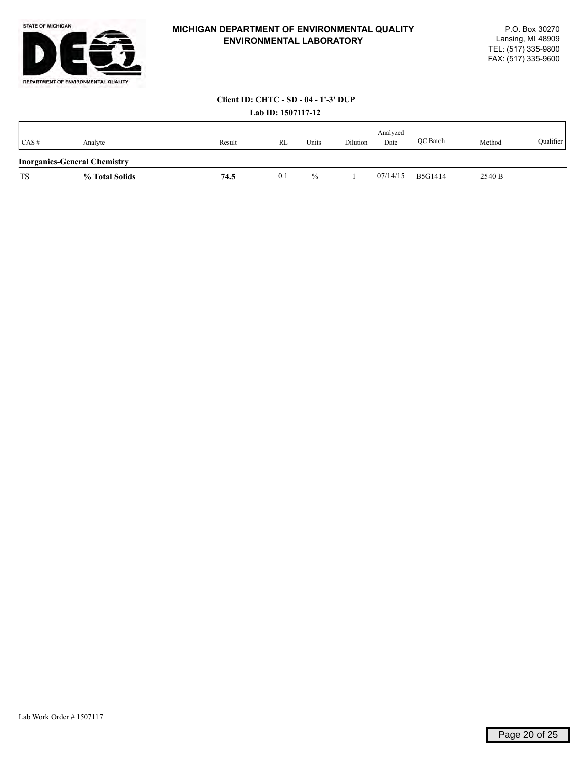

#### **Lab ID: 1507117-12 Client ID: CHTC - SD - 04 - 1'-3' DUP**

|           | <b>Lav ID:</b> ISV/II/ IE           |        |     |       |          |                  |                 |        |           |  |  |  |
|-----------|-------------------------------------|--------|-----|-------|----------|------------------|-----------------|--------|-----------|--|--|--|
| CAS#      | Analyte                             | Result | RL  | Units | Dilution | Analyzed<br>Date | <b>OC</b> Batch | Method | Qualifier |  |  |  |
|           | <b>Inorganics-General Chemistry</b> |        |     |       |          |                  |                 |        |           |  |  |  |
| <b>TS</b> | % Total Solids                      | 74.5   | 0.1 | $\%$  |          | 07/14/15         | <b>B5G1414</b>  | 2540 B |           |  |  |  |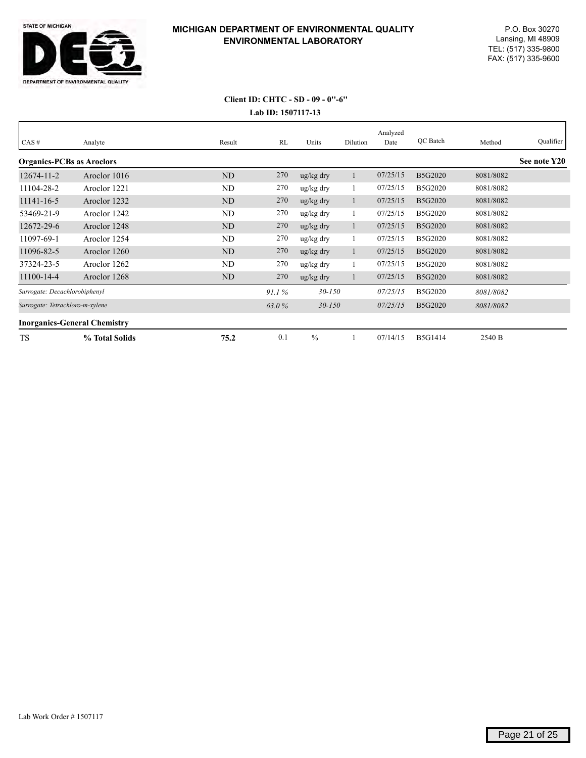

## **Lab ID: 1507117-13 Client ID: CHTC - SD - 09 - 0''-6''**

| CAS#                                | Analyte        | Result         | RL    | Units                | Dilution | Analyzed<br>Date | QC Batch       | Method    | Qualifier    |
|-------------------------------------|----------------|----------------|-------|----------------------|----------|------------------|----------------|-----------|--------------|
| <b>Organics-PCBs as Aroclors</b>    |                |                |       |                      |          |                  |                |           | See note Y20 |
| 12674-11-2                          | Aroclor 1016   | <b>ND</b>      | 270   | ug/kg dry            |          | 07/25/15         | B5G2020        | 8081/8082 |              |
| 11104-28-2                          | Aroclor 1221   | ND             | 270   | ug/kg dry            |          | 07/25/15         | B5G2020        | 8081/8082 |              |
| 11141-16-5                          | Aroclor 1232   | ND             | 270   | ug/kg dry            |          | 07/25/15         | B5G2020        | 8081/8082 |              |
| 53469-21-9                          | Aroclor 1242   | ND             | 270   | ug/kg dry            |          | 07/25/15         | B5G2020        | 8081/8082 |              |
| 12672-29-6                          | Aroclor 1248   | N <sub>D</sub> | 270   | ug/kg dry            |          | 07/25/15         | B5G2020        | 8081/8082 |              |
| 11097-69-1                          | Aroclor 1254   | ND             | 270   | ug/kg dry            |          | 07/25/15         | B5G2020        | 8081/8082 |              |
| 11096-82-5                          | Aroclor 1260   | ND             | 270   | ug/kg dry            |          | 07/25/15         | B5G2020        | 8081/8082 |              |
| 37324-23-5                          | Aroclor 1262   | ND             | 270   | ug/kg dry            |          | 07/25/15         | B5G2020        | 8081/8082 |              |
| 11100-14-4                          | Aroclor 1268   | ND             | 270   | $\frac{u}{g}$ kg dry |          | 07/25/15         | B5G2020        | 8081/8082 |              |
| Surrogate: Decachlorobiphenyl       |                |                | 91.1% | $30 - 150$           |          | 07/25/15         | B5G2020        | 8081/8082 |              |
| Surrogate: Tetrachloro-m-xylene     |                |                | 63.0% | $30 - 150$           |          | 07/25/15         | <b>B5G2020</b> | 8081/8082 |              |
| <b>Inorganics-General Chemistry</b> |                |                |       |                      |          |                  |                |           |              |
| <b>TS</b>                           | % Total Solids | 75.2           | 0.1   | $\frac{0}{0}$        |          | 07/14/15         | <b>B5G1414</b> | 2540 B    |              |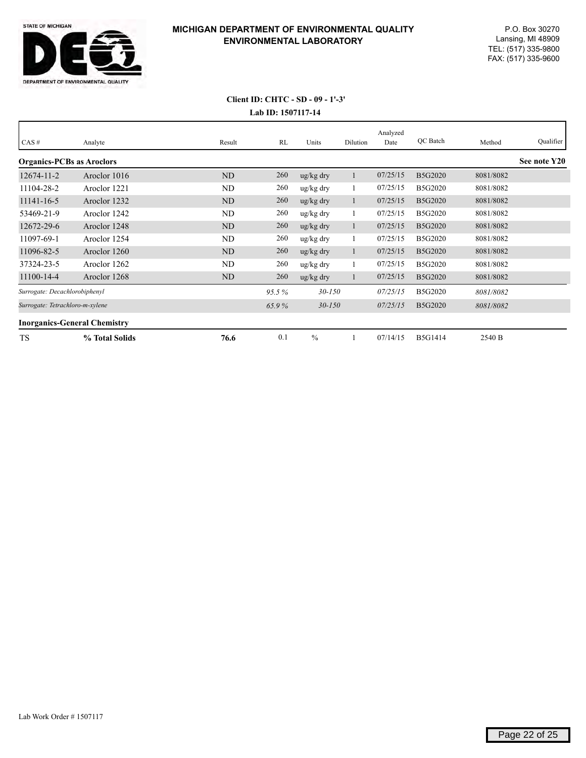

# **Lab ID: 1507117-14 Client ID: CHTC - SD - 09 - 1'-3'**

| CAS#                             | Analyte                             | Result         | RL    | Units                | Dilution | Analyzed<br>Date | QC Batch       | Method    | Qualifier    |
|----------------------------------|-------------------------------------|----------------|-------|----------------------|----------|------------------|----------------|-----------|--------------|
| <b>Organics-PCBs as Aroclors</b> |                                     |                |       |                      |          |                  |                |           | See note Y20 |
| 12674-11-2                       | Aroclor 1016                        | <b>ND</b>      | 260   | ug/kg dry            |          | 07/25/15         | B5G2020        | 8081/8082 |              |
| 11104-28-2                       | Aroclor 1221                        | ND             | 260   | ug/kg dry            |          | 07/25/15         | B5G2020        | 8081/8082 |              |
| 11141-16-5                       | Aroclor 1232                        | N <sub>D</sub> | 260   | ug/kg dry            |          | 07/25/15         | B5G2020        | 8081/8082 |              |
| 53469-21-9                       | Aroclor 1242                        | ND             | 260   | ug/kg dry            |          | 07/25/15         | B5G2020        | 8081/8082 |              |
| 12672-29-6                       | Aroclor 1248                        | ND             | 260   | ug/kg dry            |          | 07/25/15         | B5G2020        | 8081/8082 |              |
| 11097-69-1                       | Aroclor 1254                        | ND             | 260   | ug/kg dry            |          | 07/25/15         | B5G2020        | 8081/8082 |              |
| 11096-82-5                       | Aroclor 1260                        | <b>ND</b>      | 260   | $\frac{u}{g}$ kg dry |          | 07/25/15         | B5G2020        | 8081/8082 |              |
| 37324-23-5                       | Aroclor 1262                        | ND             | 260   | ug/kg dry            |          | 07/25/15         | B5G2020        | 8081/8082 |              |
| 11100-14-4                       | Aroclor 1268                        | ND             | 260   | $\frac{u}{g}$ kg dry |          | 07/25/15         | B5G2020        | 8081/8082 |              |
| Surrogate: Decachlorobiphenyl    |                                     |                | 95.5% | $30 - 150$           |          | 07/25/15         | B5G2020        | 8081/8082 |              |
| Surrogate: Tetrachloro-m-xylene  |                                     |                | 65.9% | $30 - 150$           |          | 07/25/15         | B5G2020        | 8081/8082 |              |
|                                  | <b>Inorganics-General Chemistry</b> |                |       |                      |          |                  |                |           |              |
| <b>TS</b>                        | % Total Solids                      | 76.6           | 0.1   | $\frac{0}{0}$        |          | 07/14/15         | <b>B5G1414</b> | 2540 B    |              |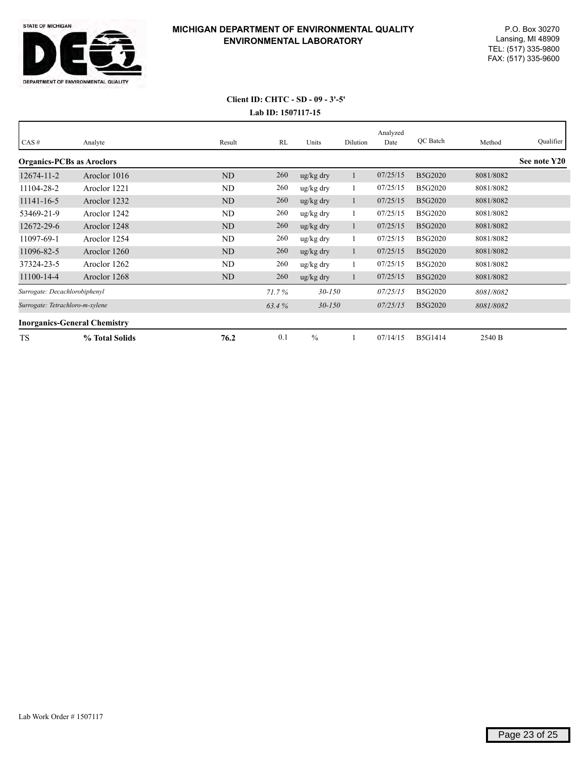

# **Lab ID: 1507117-15 Client ID: CHTC - SD - 09 - 3'-5'**

| CAS#                             | Analyte                             | Result         | RL    | Units                 | Dilution | Analyzed<br>Date | QC Batch       | Method    | Qualifier    |
|----------------------------------|-------------------------------------|----------------|-------|-----------------------|----------|------------------|----------------|-----------|--------------|
| <b>Organics-PCBs as Aroclors</b> |                                     |                |       |                       |          |                  |                |           | See note Y20 |
| 12674-11-2                       | Aroclor 1016                        | <b>ND</b>      | 260   | ug/kg dry             |          | 07/25/15         | B5G2020        | 8081/8082 |              |
| 11104-28-2                       | Aroclor 1221                        | ND             | 260   | ug/kg dry             |          | 07/25/15         | B5G2020        | 8081/8082 |              |
| 11141-16-5                       | Aroclor 1232                        | ND             | 260   | ug/kg dry             |          | 07/25/15         | B5G2020        | 8081/8082 |              |
| 53469-21-9                       | Aroclor 1242                        | ND             | 260   | ug/kg dry             |          | 07/25/15         | B5G2020        | 8081/8082 |              |
| 12672-29-6                       | Aroclor 1248                        | N <sub>D</sub> | 260   | ug/kg dry             |          | 07/25/15         | B5G2020        | 8081/8082 |              |
| 11097-69-1                       | Aroclor 1254                        | ND             | 260   | ug/kg dry             |          | 07/25/15         | B5G2020        | 8081/8082 |              |
| 11096-82-5                       | Aroclor 1260                        | N <sub>D</sub> | 260   | ug/kg dry             |          | 07/25/15         | B5G2020        | 8081/8082 |              |
| 37324-23-5                       | Aroclor 1262                        | ND             | 260   | $\frac{u g}{k g}$ dry |          | 07/25/15         | B5G2020        | 8081/8082 |              |
| 11100-14-4                       | Aroclor 1268                        | N <sub>D</sub> | 260   | ug/kg dry             |          | 07/25/15         | B5G2020        | 8081/8082 |              |
| Surrogate: Decachlorobiphenyl    |                                     |                | 71.7% | $30 - 150$            |          | 07/25/15         | B5G2020        | 8081/8082 |              |
| Surrogate: Tetrachloro-m-xylene  |                                     |                | 63.4% | $30 - 150$            |          | 07/25/15         | B5G2020        | 8081/8082 |              |
|                                  | <b>Inorganics-General Chemistry</b> |                |       |                       |          |                  |                |           |              |
| <b>TS</b>                        | % Total Solids                      | 76.2           | 0.1   | $\frac{0}{0}$         |          | 07/14/15         | <b>B5G1414</b> | 2540 B    |              |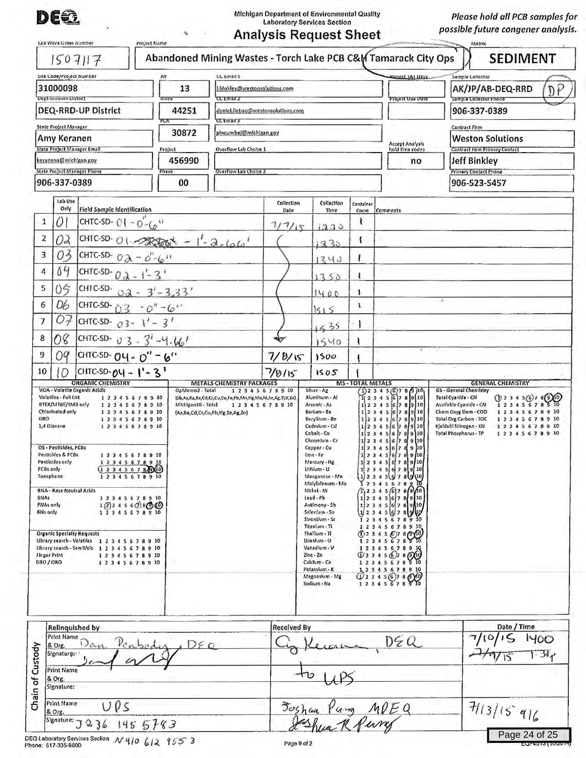**DE€**<br>
Michigan Department of Environmental Quality<br>
Laboratory Services Section

*Please hold all PCB samples for possible future congener analysis.* 

| <b>Analysis Request Sheet</b> |  |
|-------------------------------|--|
|                               |  |

| Site Code/Project Number<br>AY<br>31000098                                                                                                                                                                                   |                                                                           | 13                                                                                                                                                                                                                                                                                                                                                                    | LL Email 1<br>.blnkley@westonsolutions.com                                       |                                       |                                                                                               |                                  |                                                                                                                                                                                                                                                                                                                                                                                                | RIQUECT JAI Days       |                                                                                                                                                                                                                                                                                                                                                                                                                                                            | Sample Collector<br>AK/JP/AB-DEQ-RRD |                       |                                                                                                                                                                   |  |
|------------------------------------------------------------------------------------------------------------------------------------------------------------------------------------------------------------------------------|---------------------------------------------------------------------------|-----------------------------------------------------------------------------------------------------------------------------------------------------------------------------------------------------------------------------------------------------------------------------------------------------------------------------------------------------------------------|----------------------------------------------------------------------------------|---------------------------------------|-----------------------------------------------------------------------------------------------|----------------------------------|------------------------------------------------------------------------------------------------------------------------------------------------------------------------------------------------------------------------------------------------------------------------------------------------------------------------------------------------------------------------------------------------|------------------------|------------------------------------------------------------------------------------------------------------------------------------------------------------------------------------------------------------------------------------------------------------------------------------------------------------------------------------------------------------------------------------------------------------------------------------------------------------|--------------------------------------|-----------------------|-------------------------------------------------------------------------------------------------------------------------------------------------------------------|--|
| Dept-Division-District<br><b>Thdex</b><br>DEQ-RRD-UP District<br>PLA<br>State Project Manager<br>Amy Keranen<br>State Project Manager Email<br>keranena@michigan.gov<br>State Project Manager Phone<br>Phase<br>906-337-0389 |                                                                           |                                                                                                                                                                                                                                                                                                                                                                       | <b>CC Email Z</b>                                                                |                                       |                                                                                               |                                  | <b>Project Due Uate</b>                                                                                                                                                                                                                                                                                                                                                                        |                        |                                                                                                                                                                                                                                                                                                                                                                                                                                                            | Sample Collector Phone               | D                     |                                                                                                                                                                   |  |
|                                                                                                                                                                                                                              |                                                                           | 44251<br>30872<br>Project                                                                                                                                                                                                                                                                                                                                             | daniel.liebau@westonsolutions.com<br><b>CC Email 3</b><br>pincumbel@michigan.gov |                                       |                                                                                               |                                  |                                                                                                                                                                                                                                                                                                                                                                                                |                        | 906-337-0389<br>Contract Firm<br><b>Weston Solutions</b>                                                                                                                                                                                                                                                                                                                                                                                                   |                                      |                       |                                                                                                                                                                   |  |
|                                                                                                                                                                                                                              |                                                                           |                                                                                                                                                                                                                                                                                                                                                                       |                                                                                  |                                       |                                                                                               |                                  |                                                                                                                                                                                                                                                                                                                                                                                                |                        |                                                                                                                                                                                                                                                                                                                                                                                                                                                            |                                      |                       |                                                                                                                                                                   |  |
|                                                                                                                                                                                                                              |                                                                           |                                                                                                                                                                                                                                                                                                                                                                       | <b>Overflow Lab Choice 1</b>                                                     |                                       |                                                                                               |                                  | Accept Analysis<br>hold time codes                                                                                                                                                                                                                                                                                                                                                             |                        | Contract Firm Primary Contact<br><b>Jeff Binkley</b><br><b>Primary Contact Phone</b>                                                                                                                                                                                                                                                                                                                                                                       |                                      |                       |                                                                                                                                                                   |  |
|                                                                                                                                                                                                                              |                                                                           |                                                                                                                                                                                                                                                                                                                                                                       | 456990                                                                           |                                       |                                                                                               |                                  | no                                                                                                                                                                                                                                                                                                                                                                                             |                        |                                                                                                                                                                                                                                                                                                                                                                                                                                                            |                                      |                       |                                                                                                                                                                   |  |
|                                                                                                                                                                                                                              |                                                                           | 00                                                                                                                                                                                                                                                                                                                                                                    |                                                                                  | Overflow Lab Choice 2                 |                                                                                               |                                  |                                                                                                                                                                                                                                                                                                                                                                                                |                        |                                                                                                                                                                                                                                                                                                                                                                                                                                                            | 906-523-5457                         |                       |                                                                                                                                                                   |  |
|                                                                                                                                                                                                                              | Lab Use                                                                   |                                                                                                                                                                                                                                                                                                                                                                       |                                                                                  |                                       |                                                                                               | Collection                       | Collection                                                                                                                                                                                                                                                                                                                                                                                     | Container              |                                                                                                                                                                                                                                                                                                                                                                                                                                                            |                                      |                       |                                                                                                                                                                   |  |
| 1                                                                                                                                                                                                                            | Only<br><b>Field Sample Identification</b><br>Ö.<br>CHTC-SD- $01 - 0 - 6$ |                                                                                                                                                                                                                                                                                                                                                                       |                                                                                  | Date<br>7/7/15                        | Time                                                                                          |                                  | Count Comments                                                                                                                                                                                                                                                                                                                                                                                 |                        |                                                                                                                                                                                                                                                                                                                                                                                                                                                            |                                      |                       |                                                                                                                                                                   |  |
| 2                                                                                                                                                                                                                            | 02                                                                        |                                                                                                                                                                                                                                                                                                                                                                       |                                                                                  |                                       |                                                                                               |                                  | 330                                                                                                                                                                                                                                                                                                                                                                                            | f.                     |                                                                                                                                                                                                                                                                                                                                                                                                                                                            |                                      |                       |                                                                                                                                                                   |  |
| CHTC-SD-01-2000-1-2000<br>03<br>3<br>CHTC-SD- $0\lambda - 0''(6)$                                                                                                                                                            |                                                                           |                                                                                                                                                                                                                                                                                                                                                                       |                                                                                  |                                       | 1230                                                                                          |                                  |                                                                                                                                                                                                                                                                                                                                                                                                |                        |                                                                                                                                                                                                                                                                                                                                                                                                                                                            |                                      |                       |                                                                                                                                                                   |  |
| 4                                                                                                                                                                                                                            | 04<br>CHTC-SD- $0.3 - 1 - 3$                                              |                                                                                                                                                                                                                                                                                                                                                                       |                                                                                  |                                       |                                                                                               | 1340                             |                                                                                                                                                                                                                                                                                                                                                                                                |                        |                                                                                                                                                                                                                                                                                                                                                                                                                                                            |                                      |                       |                                                                                                                                                                   |  |
| 5                                                                                                                                                                                                                            | 05                                                                        | CHTC-SD-                                                                                                                                                                                                                                                                                                                                                              |                                                                                  |                                       |                                                                                               |                                  | 1350                                                                                                                                                                                                                                                                                                                                                                                           |                        |                                                                                                                                                                                                                                                                                                                                                                                                                                                            |                                      |                       |                                                                                                                                                                   |  |
| 6                                                                                                                                                                                                                            | 06                                                                        | CHTC-SD-03                                                                                                                                                                                                                                                                                                                                                            | $02 - 3' - 3.33'$                                                                |                                       |                                                                                               |                                  | 1400                                                                                                                                                                                                                                                                                                                                                                                           | 4<br>¥.                |                                                                                                                                                                                                                                                                                                                                                                                                                                                            |                                      |                       |                                                                                                                                                                   |  |
| 7                                                                                                                                                                                                                            | $O_{\mathcal{I}}$                                                         | CHTC-SD- $03 - 1 - 3$                                                                                                                                                                                                                                                                                                                                                 | $^{4}$ O'' $^{4}$ $^{4}$                                                         |                                       |                                                                                               |                                  | 1515                                                                                                                                                                                                                                                                                                                                                                                           |                        |                                                                                                                                                                                                                                                                                                                                                                                                                                                            |                                      |                       |                                                                                                                                                                   |  |
| 8                                                                                                                                                                                                                            | O8                                                                        | CHTC-SD- $0.3 - 3^{1} - 4.46^{1}$                                                                                                                                                                                                                                                                                                                                     |                                                                                  |                                       |                                                                                               |                                  | 255                                                                                                                                                                                                                                                                                                                                                                                            |                        |                                                                                                                                                                                                                                                                                                                                                                                                                                                            |                                      |                       |                                                                                                                                                                   |  |
| 9                                                                                                                                                                                                                            | 09                                                                        | CHTC-SD- $04 - 0'' - 6''$                                                                                                                                                                                                                                                                                                                                             |                                                                                  |                                       |                                                                                               |                                  | 1540                                                                                                                                                                                                                                                                                                                                                                                           |                        |                                                                                                                                                                                                                                                                                                                                                                                                                                                            |                                      |                       |                                                                                                                                                                   |  |
| 10                                                                                                                                                                                                                           | $\overline{O}$                                                            | CHTC-SD-04 - $1 - 3$                                                                                                                                                                                                                                                                                                                                                  |                                                                                  |                                       |                                                                                               | 7/8/15<br>1500<br>7/8/15<br>1505 |                                                                                                                                                                                                                                                                                                                                                                                                |                        |                                                                                                                                                                                                                                                                                                                                                                                                                                                            |                                      |                       |                                                                                                                                                                   |  |
|                                                                                                                                                                                                                              | Volatiles - Fuli List<br>8TEX/MT6E/TM8 only<br>Chlorinated only           | VOA - Volatile Organic Acidic<br>12345678910<br>12345678910<br>12345678910                                                                                                                                                                                                                                                                                            |                                                                                  | OpMemo2 - Total<br>Michigan10 - Total | <b>METALS CHEMISTRY PACKAGES</b><br>(Sb,As,Ba,Be,Cd,Cr,Cu,Co,Fe,Pb,Mn,Hg,Mo,Nl,Se,Ag,Tl,V,Zn) | 12345678910<br>12345678910       | Silver - Ag<br>Aluminum - Al<br>Arsenic - As<br>Barium - Ba                                                                                                                                                                                                                                                                                                                                    | <b>MS-TOTAL METALS</b> | $(1)$ 2 3 4 5 (6) 7 8 (9) 10<br>2345678910<br>$1$ 2 3 4 5 6 7 8 9 10<br>3 4 5 6 7 8 9 10                                                                                                                                                                                                                                                                                                                                                                   |                                      | Total Cyanide - CN    | <b>GENERAL CHEMISTRY</b><br>GS - General Chemistry<br>$(1)$ 2 3 4 5 (6) 7 8 (9)(0)<br>Avallable Cyanide - CN<br>12345678910<br>Chem Oxyg Dem - COD<br>12345678910 |  |
| GRO<br>1,4 Dioxane<br>Pesticides only<br><b>PCBs only</b><br>Toxaphene<br>BNAs<br>PNAs only<br><b>BNs only</b><br>Finger Print<br>DRO/ORO                                                                                    | OS - Pestícides, PCBs<br>Pesticides & PCBs                                | 12345678910<br>12345678910<br>12345678910<br>12345678910<br>$(1\ 2\ 3\ 4\ 5\ 6\ 7\ 8.00)(10)$<br>12345678910<br><b>BNA - Base Neutral Acids</b><br>12345678910<br>1(7)34560800<br>12345678910<br><b>Organic Specialty Requests</b><br>Library search - Volatiles 1 2 3 4 5 6 7 8 9 10<br>Library search - SemiVols 1 2 3 4 5 6 7 8 9 10<br>12345678910<br>12345678910 |                                                                                  |                                       | (As,Ba,Cd,Cr,Cu,Pb,Hg,Se,Ag,Zn)                                                               |                                  | Beryllium - Be<br>Cadmium - Cd<br>Cobalt - Co<br>Chromium - Cr<br>Copper - Cu<br>Iron-Fe<br>Mercury - Hg<br>Lithium - U<br>Manganese - Mn<br>Molybdenum - Mo<br>Nickel - Ni<br>Lead - Pb<br>Antimony - Sb<br>Selenium - Se<br>Strontium - Sr<br>Titanium - Ti<br>Thallium - TI<br>Uranium - U<br>Vanadium - V<br>$2inc - 2n$<br>Calcium - Ca<br>Potassium - K<br>Magneslum - Mg<br>Sodium - Na | 12                     | 345678910<br>45678910<br>3 4 5 6 7 8 9 10<br>$1/2$ 3 4 5 6 7 8 9 10<br>12345678910<br>12345678910<br>12345678910<br>1234567891<br>$(y)$ 2345(g) 78(g)<br>12345678910<br>$T_1$ 2 3 4 5 6 7 8 9 10<br>$1$ $2$ $3$ $4$ $5$ $6$ $7$ $8$ $9$ $10$<br>$1$ 2 3 4 5 6 7 8 9 10<br>$1/2$ 3 4 5 6 7 8 9 10<br>345678910<br>12345678910<br>0234567860<br>345678910<br>345678910<br>$Q$ 2345678(5)(19)<br>12345678910<br>12345678910<br>$Q$ 23456)786)0<br>12345678910 |                                      | Total Phosphorus - TP | Total Org Carbon - TOC<br>12345678910<br>Kjeldahl Nitrogen - KN<br>12345678910<br>12345678910                                                                     |  |